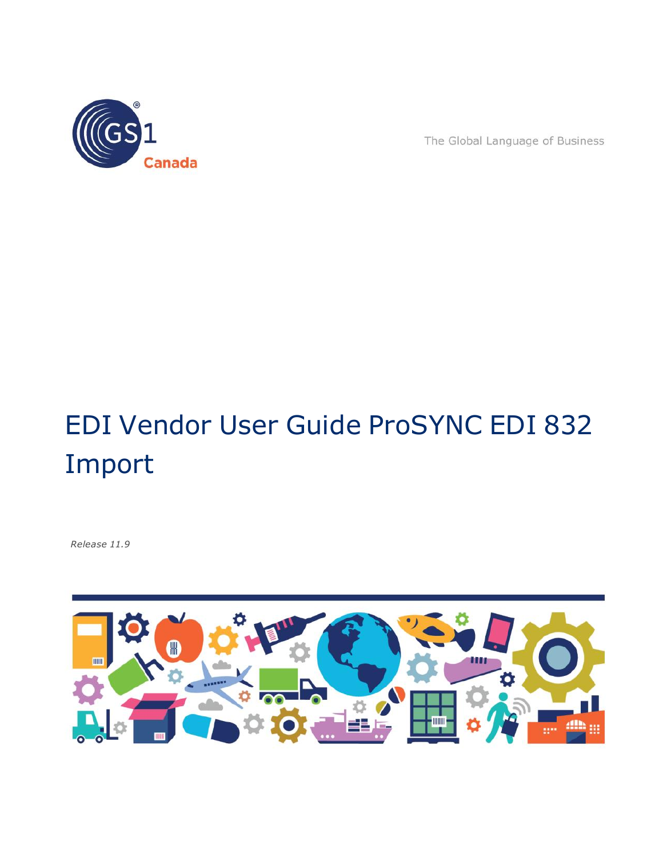

The Global Language of Business

# EDI Vendor User Guide ProSYNC EDI 832 Import

*Release 11.9*

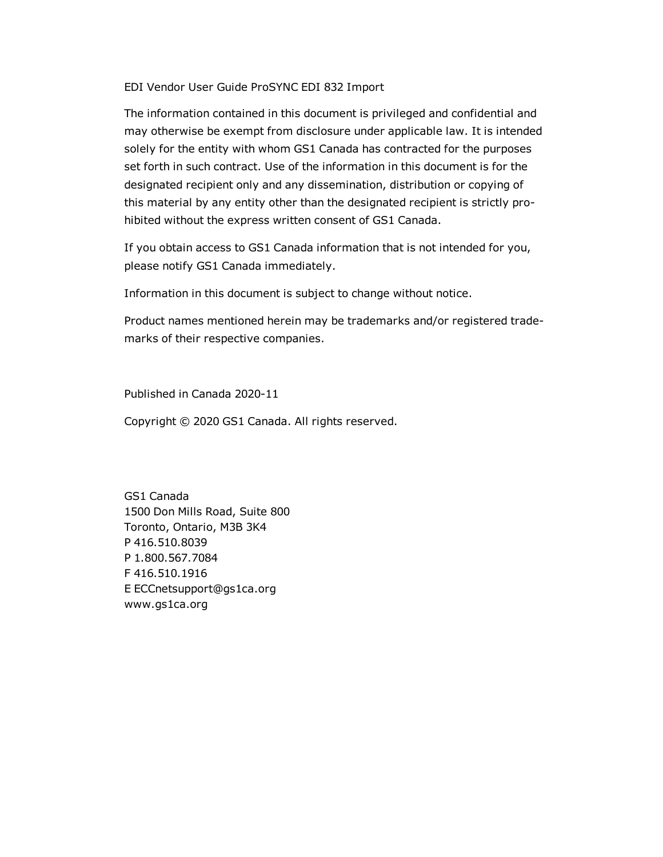EDI Vendor User Guide ProSYNC EDI 832 Import

The information contained in this document is privileged and confidential and may otherwise be exempt from disclosure under applicable law. It is intended solely for the entity with whom GS1 Canada has contracted for the purposes set forth in such contract. Use of the information in this document is for the designated recipient only and any dissemination, distribution or copying of this material by any entity other than the designated recipient is strictly prohibited without the express written consent of GS1 Canada.

If you obtain access to GS1 Canada information that is not intended for you, please notify GS1 Canada immediately.

Information in this document is subject to change without notice.

Product names mentioned herein may be trademarks and/or registered trademarks of their respective companies.

Published in Canada 2020-11

Copyright © 2020 GS1 Canada. All rights reserved.

GS1 Canada 1500 Don Mills Road, Suite 800 Toronto, Ontario, M3B 3K4 P 416.510.8039 P 1.800.567.7084 F 416.510.1916 E ECCnetsupport@gs1ca.org www.gs1ca.org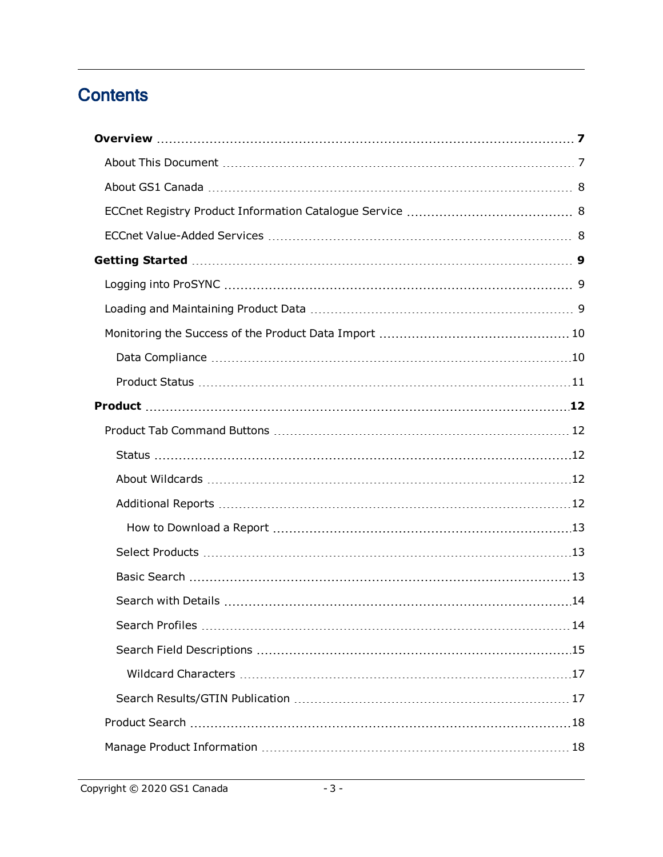### **Contents**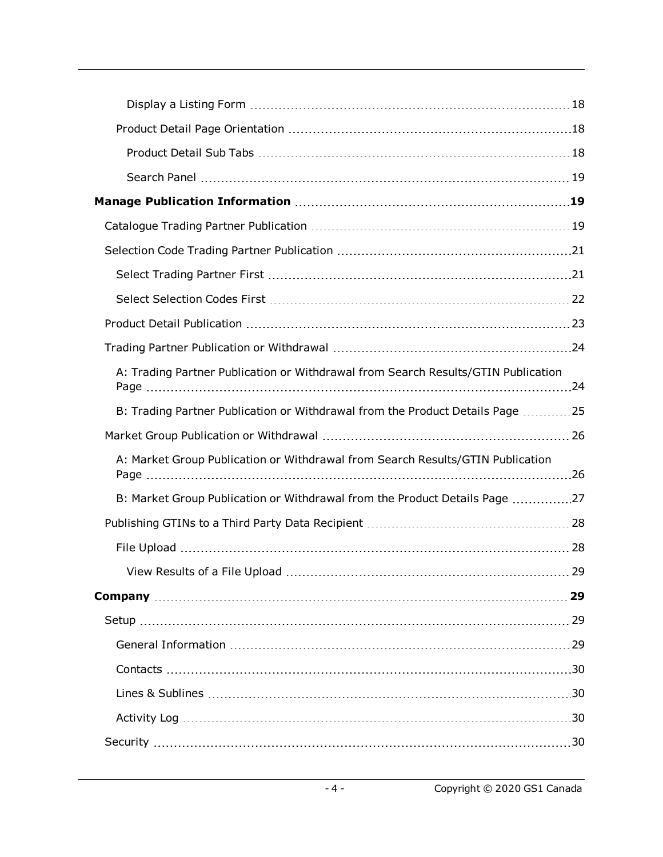| A: Trading Partner Publication or Withdrawal from Search Results/GTIN Publication |    |
|-----------------------------------------------------------------------------------|----|
| B: Trading Partner Publication or Withdrawal from the Product Details Page 25     |    |
|                                                                                   |    |
| A: Market Group Publication or Withdrawal from Search Results/GTIN Publication    |    |
| B: Market Group Publication or Withdrawal from the Product Details Page 27        |    |
|                                                                                   |    |
|                                                                                   |    |
|                                                                                   | 29 |
|                                                                                   | 29 |
|                                                                                   |    |
|                                                                                   |    |
|                                                                                   |    |
|                                                                                   |    |
|                                                                                   |    |
|                                                                                   |    |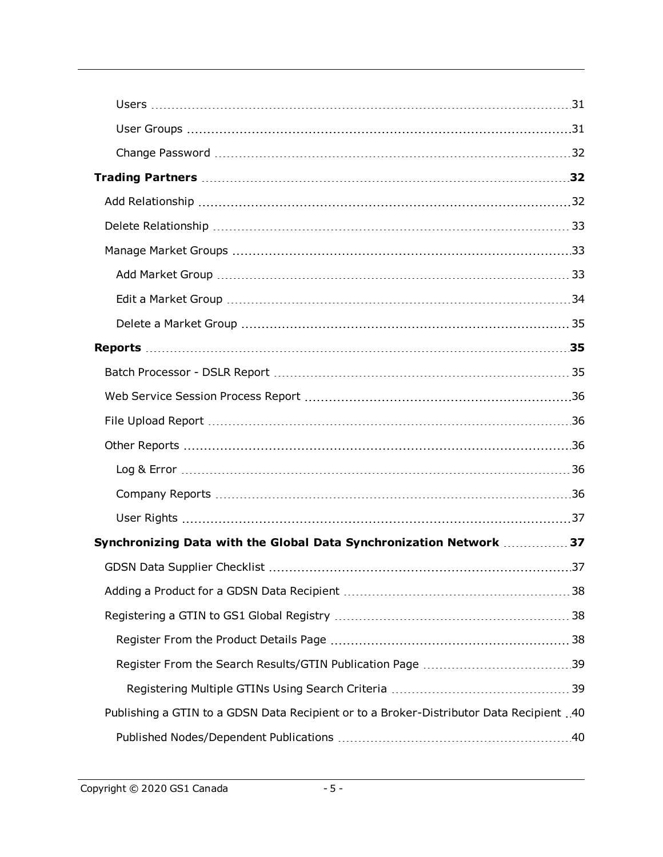| Synchronizing Data with the Global Data Synchronization Network  37                     |  |
|-----------------------------------------------------------------------------------------|--|
|                                                                                         |  |
|                                                                                         |  |
|                                                                                         |  |
|                                                                                         |  |
|                                                                                         |  |
|                                                                                         |  |
| Publishing a GTIN to a GDSN Data Recipient or to a Broker-Distributor Data Recipient 40 |  |
|                                                                                         |  |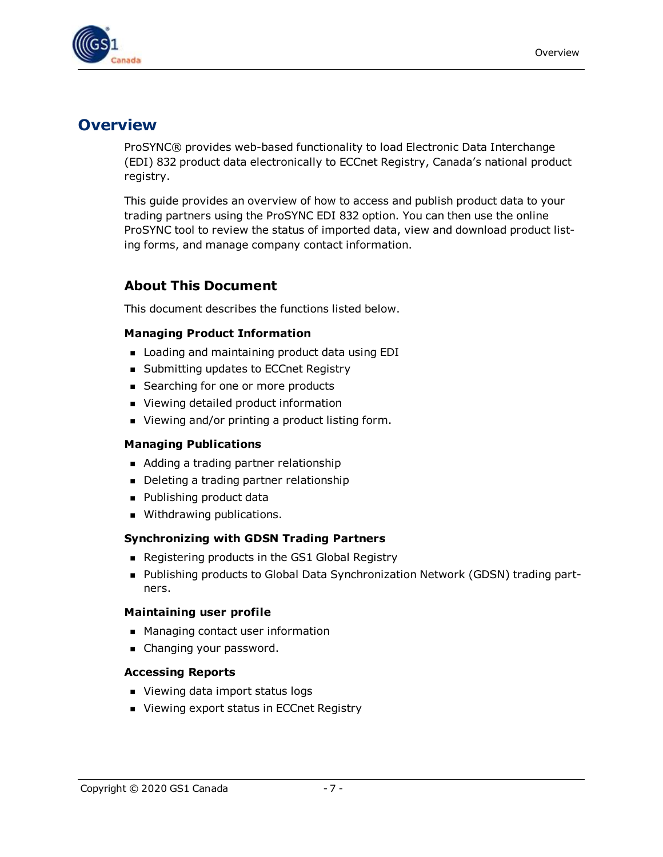

### <span id="page-6-0"></span>**Overview**

ProSYNC® provides web-based functionality to load Electronic Data Interchange (EDI) 832 product data electronically to ECCnet Registry, Canada's national product registry.

This guide provides an overview of how to access and publish product data to your trading partners using the ProSYNC EDI 832 option. You can then use the online ProSYNC tool to review the status of imported data, view and download product listing forms, and manage company contact information.

#### <span id="page-6-1"></span>**About This Document**

This document describes the functions listed below.

#### **Managing Product Information**

- **Example 2** Loading and maintaining product data using EDI
- **Bubmitting updates to ECCnet Registry**
- Searching for one or more products
- Viewing detailed product information
- Viewing and/or printing a product listing form.

#### **Managing Publications**

- Adding a trading partner relationship
- Deleting a trading partner relationship
- Publishing product data
- **Nithdrawing publications.**

#### **Synchronizing with GDSN Trading Partners**

- Registering products in the GS1 Global Registry
- Publishing products to Global Data Synchronization Network (GDSN) trading partners.

#### **Maintaining user profile**

- Managing contact user information
- **n** Changing your password.

#### **Accessing Reports**

- Viewing data import status logs
- Viewing export status in ECCnet Registry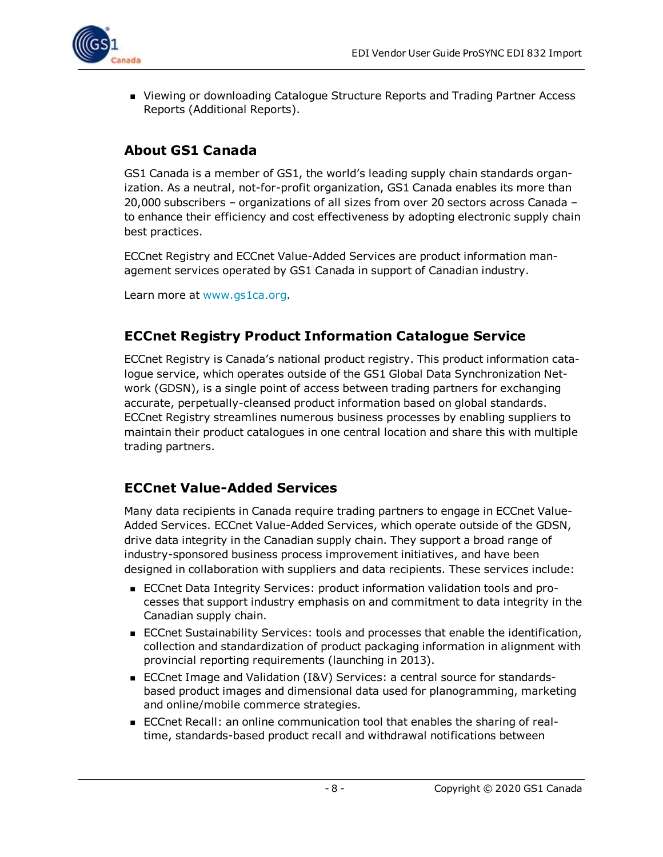

**Newing or downloading Catalogue Structure Reports and Trading Partner Access** Reports (Additional Reports).

### <span id="page-7-0"></span>**About GS1 Canada**

GS1 Canada is a member of GS1, the world's leading supply chain standards organization. As a neutral, not-for-profit organization, GS1 Canada enables its more than 20,000 subscribers – organizations of all sizes from over 20 sectors across Canada – to enhance their efficiency and cost effectiveness by adopting electronic supply chain best practices.

ECCnet Registry and ECCnet Value-Added Services are product information management services operated by GS1 Canada in support of Canadian industry.

Learn more at [www.gs1ca.org.](http://www.gs1ca.org/)

#### <span id="page-7-1"></span>**ECCnet Registry Product Information Catalogue Service**

ECCnet Registry is Canada's national product registry. This product information catalogue service, which operates outside of the GS1 Global Data Synchronization Network (GDSN), is a single point of access between trading partners for exchanging accurate, perpetually-cleansed product information based on global standards. ECCnet Registry streamlines numerous business processes by enabling suppliers to maintain their product catalogues in one central location and share this with multiple trading partners.

#### <span id="page-7-2"></span>**ECCnet Value-Added Services**

Many data recipients in Canada require trading partners to engage in ECCnet Value-Added Services. ECCnet Value-Added Services, which operate outside of the GDSN, drive data integrity in the Canadian supply chain. They support a broad range of industry-sponsored business process improvement initiatives, and have been designed in collaboration with suppliers and data recipients. These services include:

- ECCnet Data Integrity Services: product information validation tools and processes that support industry emphasis on and commitment to data integrity in the Canadian supply chain.
- **ECCnet Sustainability Services: tools and processes that enable the identification,** collection and standardization of product packaging information in alignment with provincial reporting requirements (launching in 2013).
- ECCnet Image and Validation (I&V) Services: a central source for standardsbased product images and dimensional data used for planogramming, marketing and online/mobile commerce strategies.
- ECCnet Recall: an online communication tool that enables the sharing of realtime, standards-based product recall and withdrawal notifications between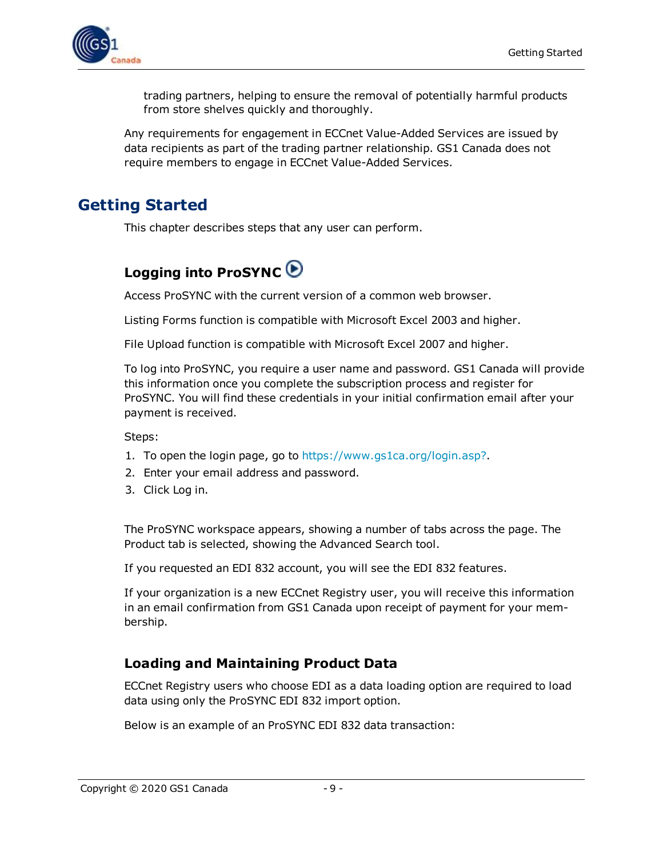

trading partners, helping to ensure the removal of potentially harmful products from store shelves quickly and thoroughly.

Any requirements for engagement in ECCnet Value-Added Services are issued by data recipients as part of the trading partner relationship. GS1 Canada does not require members to engage in ECCnet Value-Added Services.

### <span id="page-8-0"></span>**Getting Started**

<span id="page-8-1"></span>This chapter describes steps that any user can perform.

### **Logging into ProSYNC**

Access ProSYNC with the current version of a common web browser.

Listing Forms function is compatible with Microsoft Excel 2003 and higher.

File Upload function is compatible with Microsoft Excel 2007 and higher.

To log into ProSYNC, you require a user name and password. GS1 Canada will provide this information once you complete the subscription process and register for ProSYNC. You will find these credentials in your initial confirmation email after your payment is received.

Steps:

- 1. To open the login page, go to <https://www.gs1ca.org/login.asp?>.
- 2. Enter your email address and password.
- 3. Click Log in.

The ProSYNC workspace appears, showing a number of tabs across the page. The Product tab is selected, showing the Advanced Search tool.

If you requested an EDI 832 account, you will see the EDI 832 features.

If your organization is a new ECCnet Registry user, you will receive this information in an email confirmation from GS1 Canada upon receipt of payment for your membership.

#### <span id="page-8-2"></span>**Loading and Maintaining Product Data**

ECCnet Registry users who choose EDI as a data loading option are required to load data using only the ProSYNC EDI 832 import option.

Below is an example of an ProSYNC EDI 832 data transaction: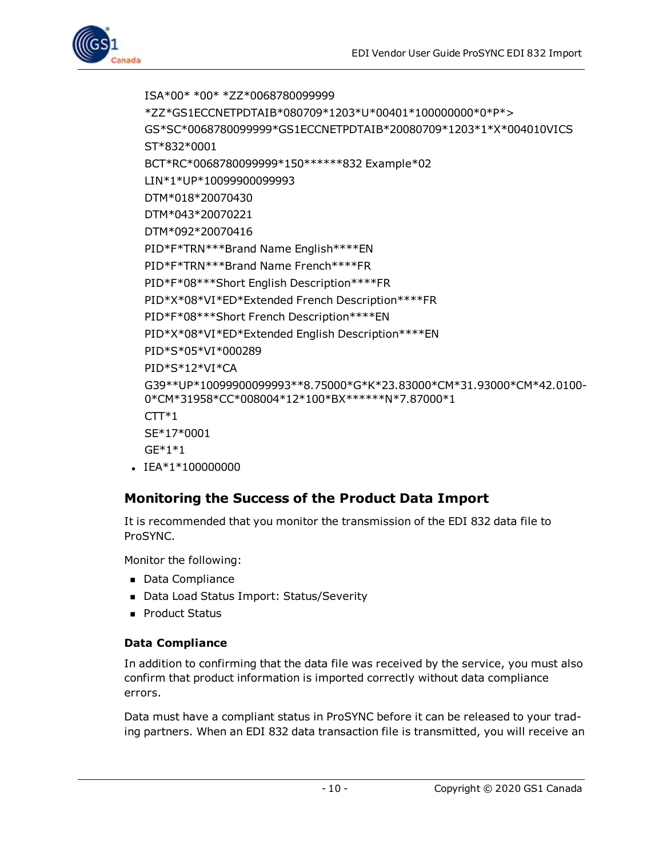ISA\*00\* \*00\* \*ZZ\*0068780099999 \*ZZ\*GS1ECCNETPDTAIB\*080709\*1203\*U\*00401\*100000000\*0\*P\*> GS\*SC\*0068780099999\*GS1ECCNETPDTAIB\*20080709\*1203\*1\*X\*004010VICS ST\*832\*0001 BCT\*RC\*0068780099999\*150\*\*\*\*\*\*832 Example\*02 LIN\*1\*UP\*10099900099993 DTM\*018\*20070430 DTM\*043\*20070221 DTM\*092\*20070416 PID\*F\*TRN\*\*\*Brand Name English\*\*\*\*EN PID\*F\*TRN\*\*\*Brand Name French\*\*\*\*FR PID\*F\*08\*\*\*Short English Description\*\*\*\*FR PID\*X\*08\*VI\*ED\*Extended French Description\*\*\*\*FR PID\*F\*08\*\*\*Short French Description\*\*\*\*EN PID\*X\*08\*VI\*ED\*Extended English Description\*\*\*\*EN PID\*S\*05\*VI\*000289 PID\*S\*12\*VI\*CA G39\*\*UP\*10099900099993\*\*8.75000\*G\*K\*23.83000\*CM\*31.93000\*CM\*42.0100- 0\*CM\*31958\*CC\*008004\*12\*100\*BX\*\*\*\*\*\*N\*7.87000\*1  $CTT*1$ SE\*17\*0001 GE\*1\*1  $\cdot$  IEA\*1\*100000000

### <span id="page-9-0"></span>**Monitoring the Success of the Product Data Import**

It is recommended that you monitor the transmission of the EDI 832 data file to ProSYNC.

Monitor the following:

- Data Compliance
- Data Load Status Import: Status/Severity
- **Product Status**

#### <span id="page-9-1"></span>**Data Compliance**

In addition to confirming that the data file was received by the service, you must also confirm that product information is imported correctly without data compliance errors.

Data must have a compliant status in ProSYNC before it can be released to your trading partners. When an EDI 832 data transaction file is transmitted, you will receive an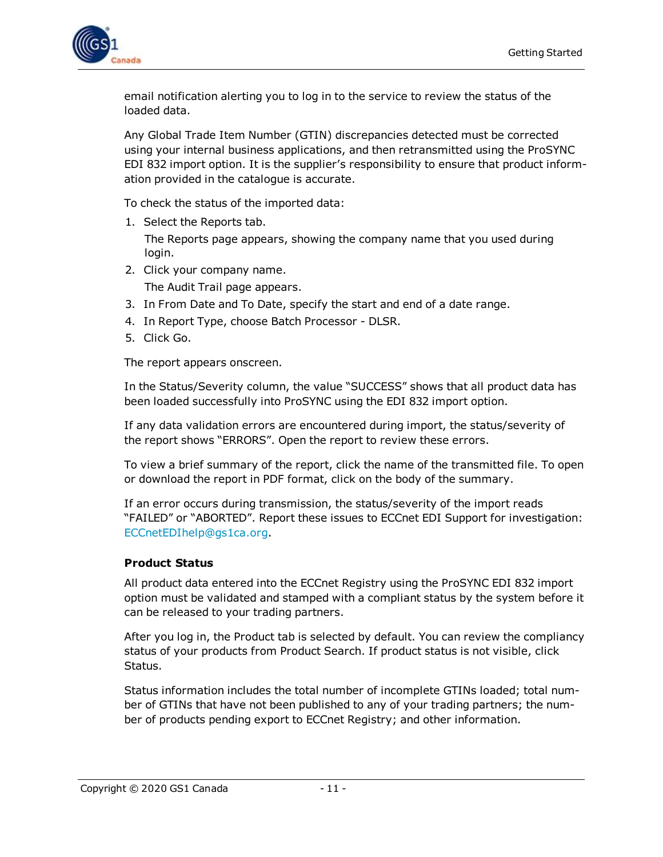

email notification alerting you to log in to the service to review the status of the loaded data.

Any Global Trade Item Number (GTIN) discrepancies detected must be corrected using your internal business applications, and then retransmitted using the ProSYNC EDI 832 import option. It is the supplier's responsibility to ensure that product information provided in the catalogue is accurate.

To check the status of the imported data:

1. Select the Reports tab.

The Reports page appears, showing the company name that you used during login.

2. Click your company name.

The Audit Trail page appears.

- 3. In From Date and To Date, specify the start and end of a date range.
- 4. In Report Type, choose Batch Processor DLSR.
- 5. Click Go.

The report appears onscreen.

In the Status/Severity column, the value "SUCCESS" shows that all product data has been loaded successfully into ProSYNC using the EDI 832 import option.

If any data validation errors are encountered during import, the status/severity of the report shows "ERRORS". Open the report to review these errors.

To view a brief summary of the report, click the name of the transmitted file. To open or download the report in PDF format, click on the body of the summary.

If an error occurs during transmission, the status/severity of the import reads "FAILED" or "ABORTED". Report these issues to ECCnet EDI Support for investigation: [ECCnetEDIhelp@gs1ca.org.](mailto:ECCnetEDIhelp@gs1ca.org)

#### <span id="page-10-0"></span>**Product Status**

All product data entered into the ECCnet Registry using the ProSYNC EDI 832 import option must be validated and stamped with a compliant status by the system before it can be released to your trading partners.

After you log in, the Product tab is selected by default. You can review the compliancy status of your products from Product Search. If product status is not visible, click Status.

Status information includes the total number of incomplete GTINs loaded; total number of GTINs that have not been published to any of your trading partners; the number of products pending export to ECCnet Registry; and other information.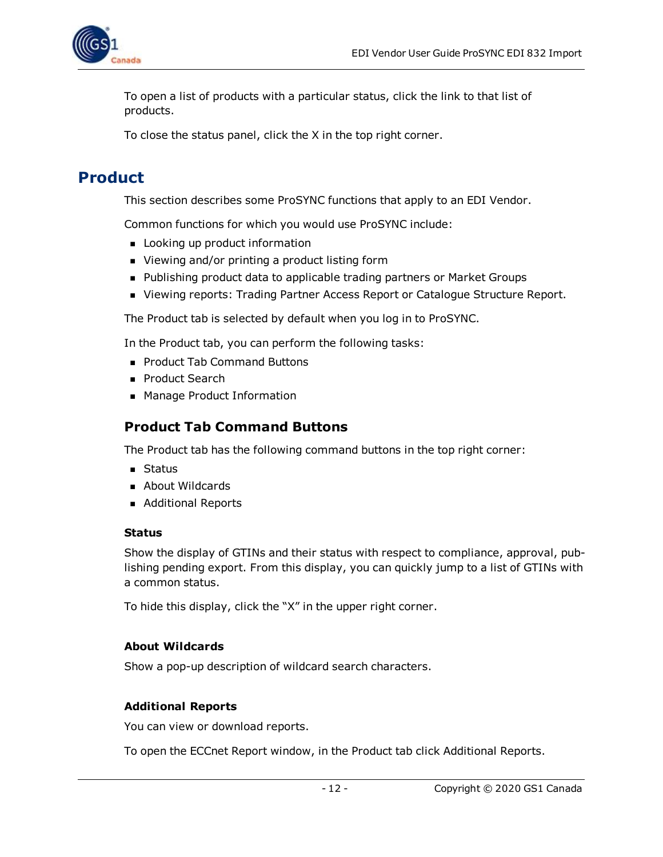

To open a list of products with a particular status, click the link to that list of products.

To close the status panel, click the X in the top right corner.

### <span id="page-11-0"></span>**Product**

This section describes some ProSYNC functions that apply to an EDI Vendor.

Common functions for which you would use ProSYNC include:

- **n** Looking up product information
- Viewing and/or printing a product listing form
- Publishing product data to applicable trading partners or Market Groups
- **N** Viewing reports: Trading Partner Access Report or Catalogue Structure Report.

The Product tab is selected by default when you log in to ProSYNC.

In the Product tab, you can perform the following tasks:

- Product Tab Command Buttons
- Product Search
- <span id="page-11-1"></span>■ Manage Product Information

#### **Product Tab Command Buttons**

The Product tab has the following command buttons in the top right corner:

- **n** Status
- **About Wildcards**
- **Additional Reports**

#### <span id="page-11-2"></span>**Status**

Show the display of GTINs and their status with respect to compliance, approval, publishing pending export. From this display, you can quickly jump to a list of GTINs with a common status.

To hide this display, click the "X" in the upper right corner.

#### <span id="page-11-3"></span>**About Wildcards**

Show a pop-up description of wildcard search characters.

#### <span id="page-11-4"></span>**Additional Reports**

You can view or download reports.

To open the ECCnet Report window, in the Product tab click Additional Reports.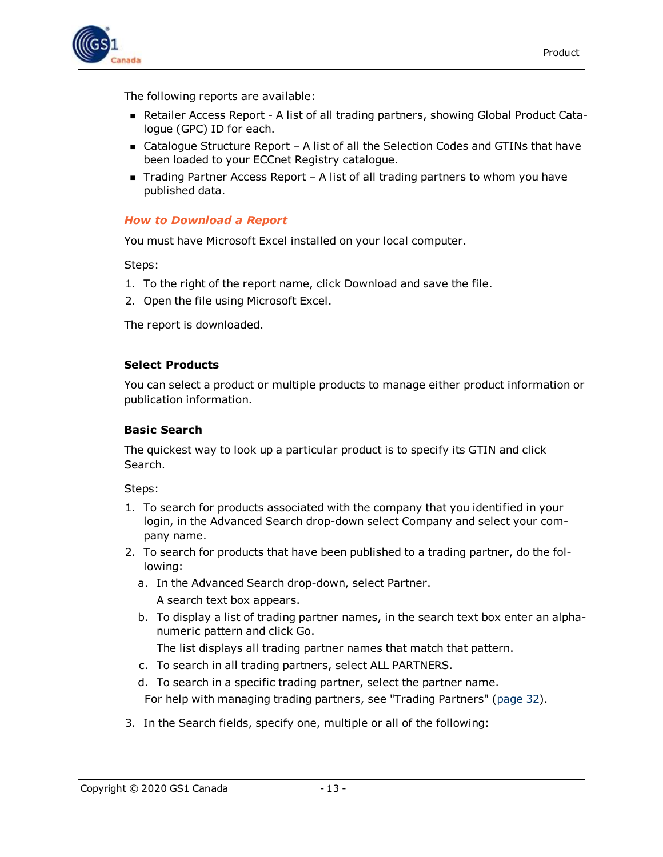

The following reports are available:

- <sup>n</sup> Retailer Access Report A list of all trading partners, showing Global Product Catalogue (GPC) ID for each.
- Catalogue Structure Report A list of all the Selection Codes and GTINs that have been loaded to your ECCnet Registry catalogue.
- $\blacksquare$  Trading Partner Access Report A list of all trading partners to whom you have published data.

#### <span id="page-12-0"></span>*How to Download a Report*

You must have Microsoft Excel installed on your local computer.

Steps:

- 1. To the right of the report name, click Download and save the file.
- 2. Open the file using Microsoft Excel.

The report is downloaded.

#### <span id="page-12-1"></span>**Select Products**

You can select a product or multiple products to manage either product information or publication information.

#### <span id="page-12-2"></span>**Basic Search**

The quickest way to look up a particular product is to specify its GTIN and click Search.

Steps:

- 1. To search for products associated with the company that you identified in your login, in the Advanced Search drop-down select Company and select your company name.
- 2. To search for products that have been published to a trading partner, do the following:
	- a. In the Advanced Search drop-down, select Partner. A search text box appears.
	- b. To display a list of trading partner names, in the search text box enter an alphanumeric pattern and click Go.

The list displays all trading partner names that match that pattern.

- c. To search in all trading partners, select ALL PARTNERS.
- d. To search in a specific trading partner, select the partner name.

For help with managing trading partners, see "Trading Partners" [\(page](#page-31-1) 32).

3. In the Search fields, specify one, multiple or all of the following: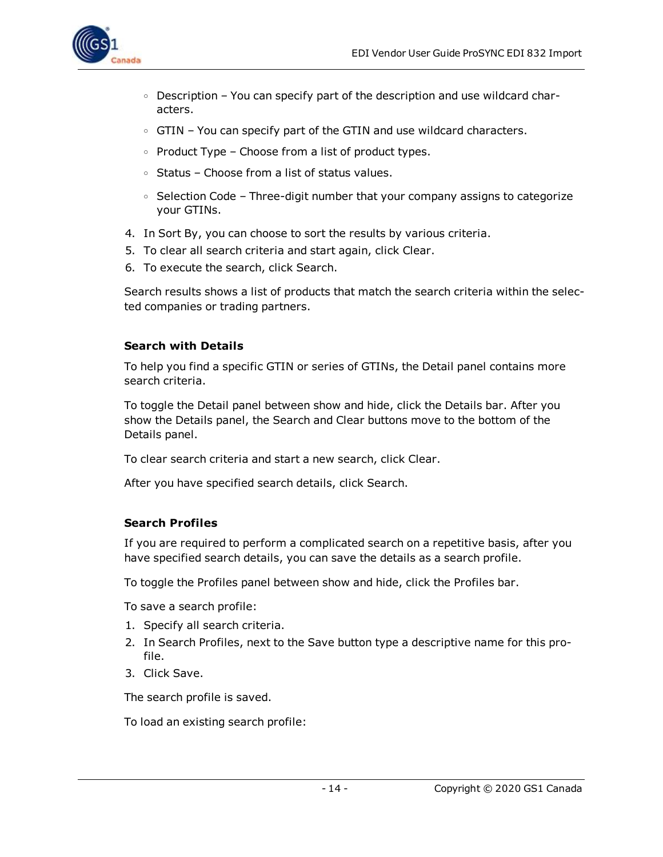

- $\circ$  Description You can specify part of the description and use wildcard characters.
- GTIN You can specify part of the GTIN and use wildcard characters.
- $\circ$  Product Type Choose from a list of product types.
- <sup>o</sup> Status Choose from a list of status values.
- ∘ Selection Code Three-digit number that your company assigns to categorize your GTINs.
- 4. In Sort By, you can choose to sort the results by various criteria.
- 5. To clear all search criteria and start again, click Clear.
- 6. To execute the search, click Search.

Search results shows a list of products that match the search criteria within the selected companies or trading partners.

#### <span id="page-13-0"></span>**Search with Details**

To help you find a specific GTIN or series of GTINs, the Detail panel contains more search criteria.

To toggle the Detail panel between show and hide, click the Details bar. After you show the Details panel, the Search and Clear buttons move to the bottom of the Details panel.

To clear search criteria and start a new search, click Clear.

After you have specified search details, click Search.

#### <span id="page-13-1"></span>**Search Profiles**

If you are required to perform a complicated search on a repetitive basis, after you have specified search details, you can save the details as a search profile.

To toggle the Profiles panel between show and hide, click the Profiles bar.

To save a search profile:

- 1. Specify all search criteria.
- 2. In Search Profiles, next to the Save button type a descriptive name for this profile.
- 3. Click Save.

The search profile is saved.

To load an existing search profile: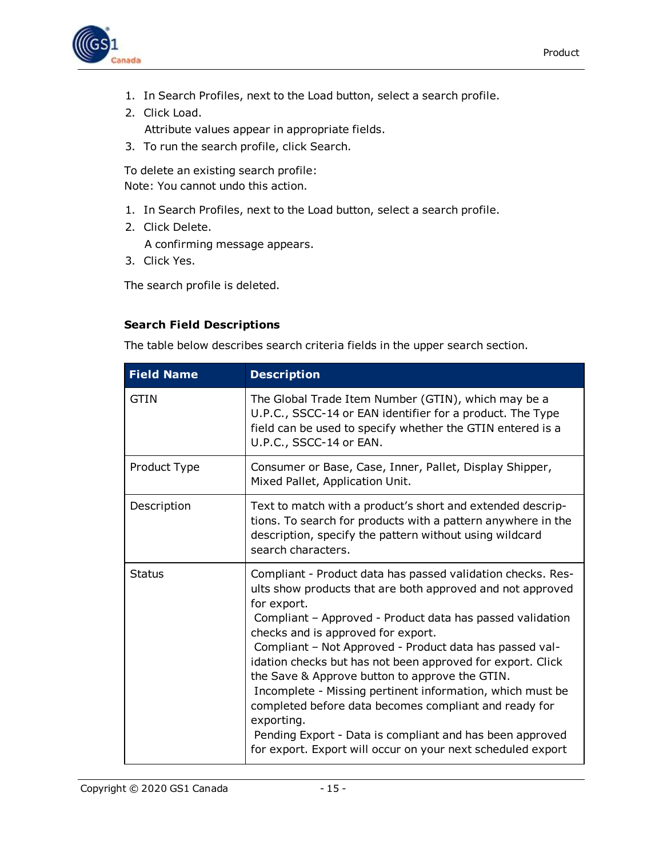

- 1. In Search Profiles, next to the Load button, select a search profile.
- 2. Click Load. Attribute values appear in appropriate fields.
- 3. To run the search profile, click Search.

To delete an existing search profile: Note: You cannot undo this action.

- 1. In Search Profiles, next to the Load button, select a search profile.
- 2. Click Delete.

<span id="page-14-1"></span>A confirming message appears.

3. Click Yes.

The search profile is deleted.

#### <span id="page-14-0"></span>**Search Field Descriptions**

The table below describes search criteria fields in the upper search section.

| <b>Field Name</b> | <b>Description</b>                                                                                                                                                                                                                                                                                                                                                                                                                                                                                                                                                                                                                                                                    |
|-------------------|---------------------------------------------------------------------------------------------------------------------------------------------------------------------------------------------------------------------------------------------------------------------------------------------------------------------------------------------------------------------------------------------------------------------------------------------------------------------------------------------------------------------------------------------------------------------------------------------------------------------------------------------------------------------------------------|
| GTIN              | The Global Trade Item Number (GTIN), which may be a<br>U.P.C., SSCC-14 or EAN identifier for a product. The Type<br>field can be used to specify whether the GTIN entered is a<br>U.P.C., SSCC-14 or EAN.                                                                                                                                                                                                                                                                                                                                                                                                                                                                             |
| Product Type      | Consumer or Base, Case, Inner, Pallet, Display Shipper,<br>Mixed Pallet, Application Unit.                                                                                                                                                                                                                                                                                                                                                                                                                                                                                                                                                                                            |
| Description       | Text to match with a product's short and extended descrip-<br>tions. To search for products with a pattern anywhere in the<br>description, specify the pattern without using wildcard<br>search characters.                                                                                                                                                                                                                                                                                                                                                                                                                                                                           |
| <b>Status</b>     | Compliant - Product data has passed validation checks. Res-<br>ults show products that are both approved and not approved<br>for export.<br>Compliant - Approved - Product data has passed validation<br>checks and is approved for export.<br>Compliant - Not Approved - Product data has passed val-<br>idation checks but has not been approved for export. Click<br>the Save & Approve button to approve the GTIN.<br>Incomplete - Missing pertinent information, which must be<br>completed before data becomes compliant and ready for<br>exporting.<br>Pending Export - Data is compliant and has been approved<br>for export. Export will occur on your next scheduled export |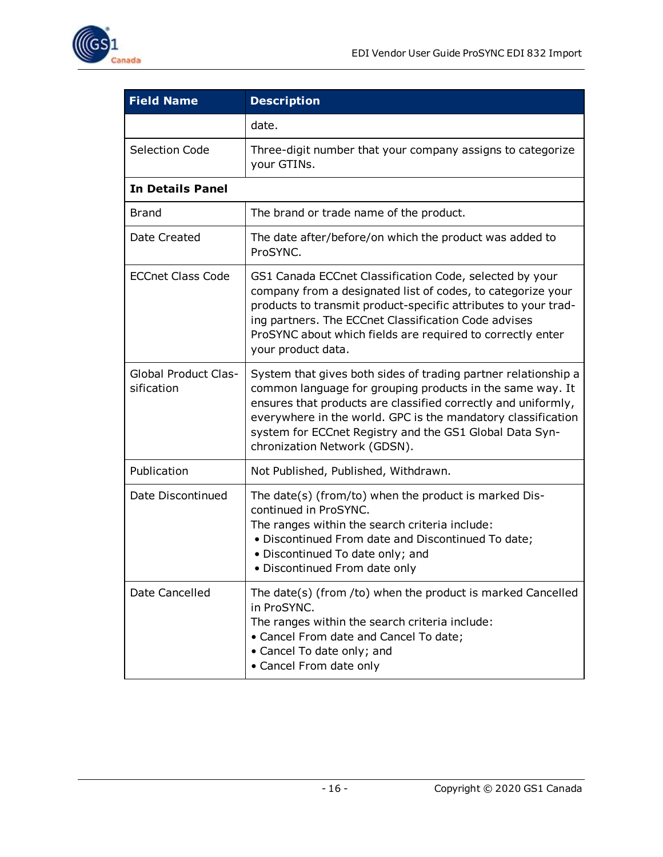

| <b>Field Name</b>                         | <b>Description</b>                                                                                                                                                                                                                                                                                                                                      |
|-------------------------------------------|---------------------------------------------------------------------------------------------------------------------------------------------------------------------------------------------------------------------------------------------------------------------------------------------------------------------------------------------------------|
|                                           | date.                                                                                                                                                                                                                                                                                                                                                   |
| <b>Selection Code</b>                     | Three-digit number that your company assigns to categorize<br>your GTINs.                                                                                                                                                                                                                                                                               |
| <b>In Details Panel</b>                   |                                                                                                                                                                                                                                                                                                                                                         |
| Brand                                     | The brand or trade name of the product.                                                                                                                                                                                                                                                                                                                 |
| Date Created                              | The date after/before/on which the product was added to<br>ProSYNC.                                                                                                                                                                                                                                                                                     |
| <b>ECCnet Class Code</b>                  | GS1 Canada ECCnet Classification Code, selected by your<br>company from a designated list of codes, to categorize your<br>products to transmit product-specific attributes to your trad-<br>ing partners. The ECCnet Classification Code advises<br>ProSYNC about which fields are required to correctly enter<br>your product data.                    |
| <b>Global Product Clas-</b><br>sification | System that gives both sides of trading partner relationship a<br>common language for grouping products in the same way. It<br>ensures that products are classified correctly and uniformly,<br>everywhere in the world. GPC is the mandatory classification<br>system for ECCnet Registry and the GS1 Global Data Syn-<br>chronization Network (GDSN). |
| Publication                               | Not Published, Published, Withdrawn.                                                                                                                                                                                                                                                                                                                    |
| Date Discontinued                         | The date(s) (from/to) when the product is marked Dis-<br>continued in ProSYNC.<br>The ranges within the search criteria include:<br>. Discontinued From date and Discontinued To date;<br>• Discontinued To date only; and<br>· Discontinued From date only                                                                                             |
| Date Cancelled                            | The date(s) (from /to) when the product is marked Cancelled<br>in ProSYNC.<br>The ranges within the search criteria include:<br>• Cancel From date and Cancel To date;<br>• Cancel To date only; and<br>• Cancel From date only                                                                                                                         |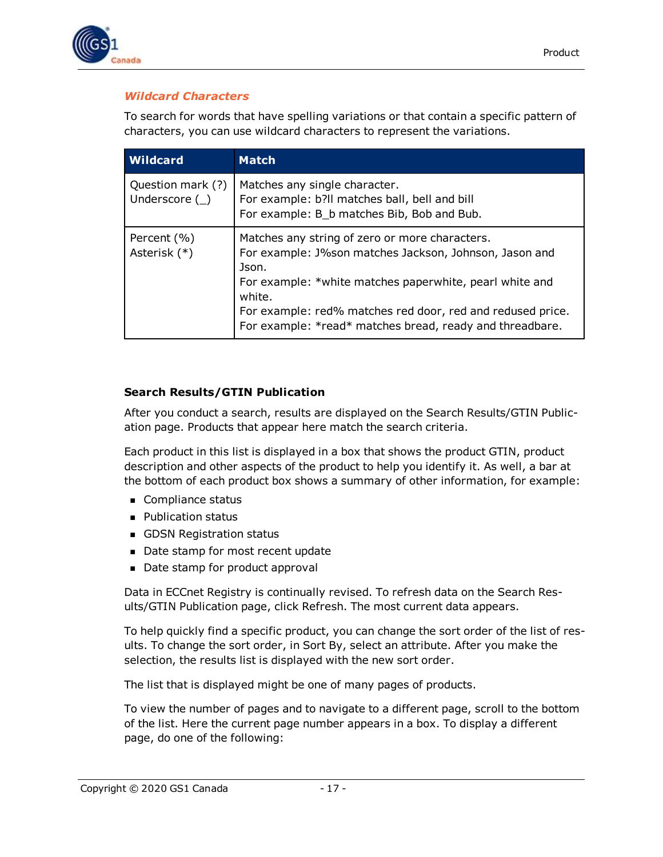

#### <span id="page-16-0"></span>*Wildcard Characters*

To search for words that have spelling variations or that contain a specific pattern of characters, you can use wildcard characters to represent the variations.

| <b>Wildcard</b>                        | <b>Match</b>                                                                                                                                                                                                                                                                                                     |
|----------------------------------------|------------------------------------------------------------------------------------------------------------------------------------------------------------------------------------------------------------------------------------------------------------------------------------------------------------------|
| Question mark (?)<br>Underscore $(\_)$ | Matches any single character.<br>For example: b?ll matches ball, bell and bill<br>For example: B_b matches Bib, Bob and Bub.                                                                                                                                                                                     |
| Percent (%)<br>Asterisk (*)            | Matches any string of zero or more characters.<br>For example: J%son matches Jackson, Johnson, Jason and<br>Json.<br>For example: *white matches paperwhite, pearl white and<br>white.<br>For example: red% matches red door, red and redused price.<br>For example: *read* matches bread, ready and threadbare. |

#### <span id="page-16-1"></span>**Search Results/GTIN Publication**

After you conduct a search, results are displayed on the Search Results/GTIN Publication page. Products that appear here match the search criteria.

Each product in this list is displayed in a box that shows the product GTIN, product description and other aspects of the product to help you identify it. As well, a bar at the bottom of each product box shows a summary of other information, for example:

- **n** Compliance status
- **Publication status**
- **n** GDSN Registration status
- Date stamp for most recent update
- Date stamp for product approval

Data in ECCnet Registry is continually revised. To refresh data on the Search Results/GTIN Publication page, click Refresh. The most current data appears.

To help quickly find a specific product, you can change the sort order of the list of results. To change the sort order, in Sort By, select an attribute. After you make the selection, the results list is displayed with the new sort order.

The list that is displayed might be one of many pages of products.

To view the number of pages and to navigate to a different page, scroll to the bottom of the list. Here the current page number appears in a box. To display a different page, do one of the following: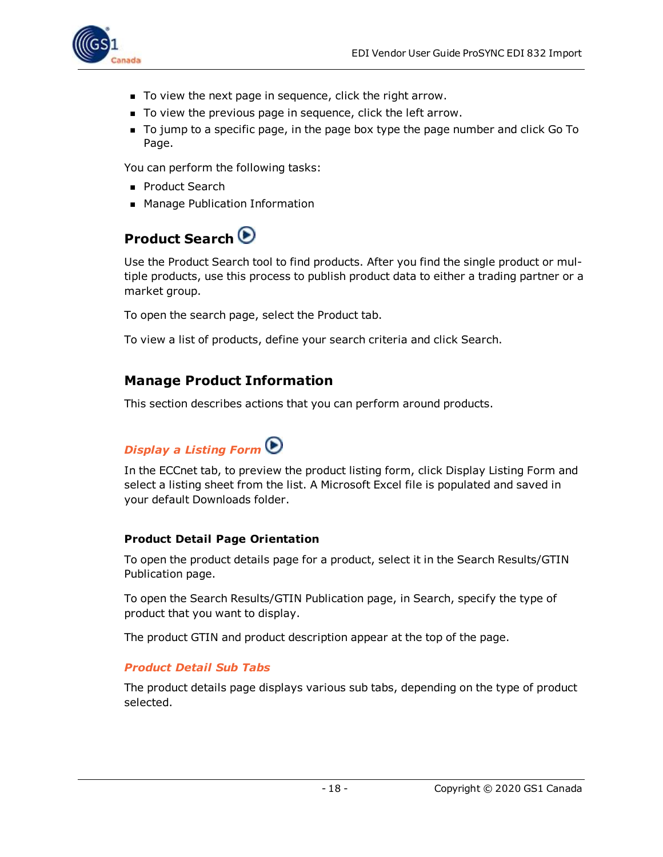

- $\blacksquare$  To view the next page in sequence, click the right arrow.
- To view the previous page in sequence, click the left arrow.
- <sup>n</sup> To jump to a specific page, in the page box type the page number and click Go To Page.

You can perform the following tasks:

- **Product Search**
- <span id="page-17-0"></span>■ Manage Publication Information

### **Product Search**

Use the Product Search tool to find products. After you find the single product or multiple products, use this process to publish product data to either a trading partner or a market group.

To open the search page, select the Product tab.

To view a list of products, define your search criteria and click Search.

#### <span id="page-17-1"></span>**Manage Product Information**

<span id="page-17-2"></span>This section describes actions that you can perform around products.

### *Display a Listing Form*

In the ECCnet tab, to preview the product listing form, click Display Listing Form and select a listing sheet from the list. A Microsoft Excel file is populated and saved in your default Downloads folder.

#### <span id="page-17-3"></span>**Product Detail Page Orientation**

To open the product details page for a product, select it in the Search Results/GTIN Publication page.

To open the Search Results/GTIN Publication page, in Search, specify the type of product that you want to display.

The product GTIN and product description appear at the top of the page.

#### <span id="page-17-4"></span>*Product Detail Sub Tabs*

The product details page displays various sub tabs, depending on the type of product selected.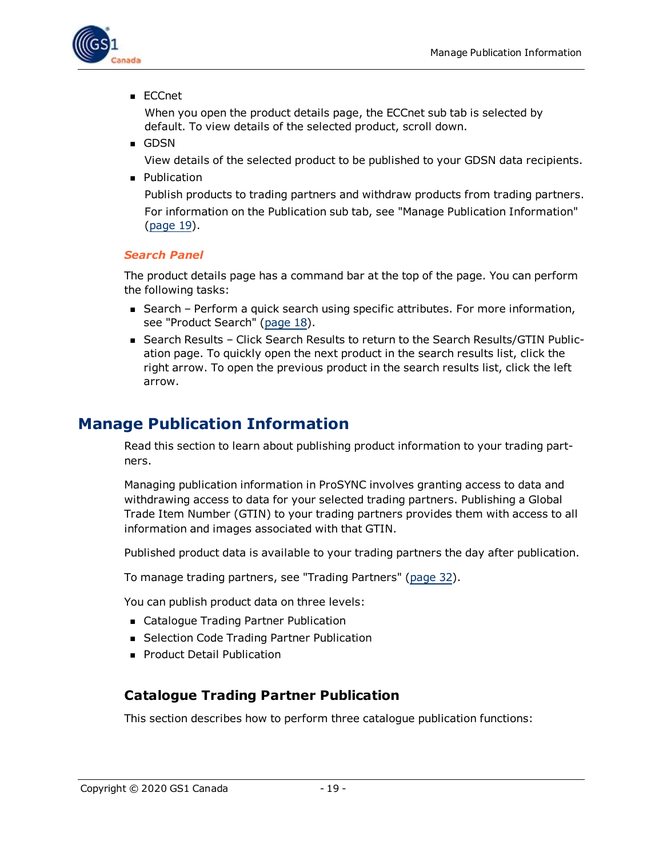

<sup>n</sup> ECCnet

When you open the product details page, the ECCnet sub tab is selected by default. To view details of the selected product, scroll down.

<sup>n</sup> GDSN

View details of the selected product to be published to your GDSN data recipients.

**n** Publication

Publish products to trading partners and withdraw products from trading partners. For information on the Publication sub tab, see "Manage Publication Information" [\(page](#page-18-1) 19).

#### <span id="page-18-0"></span>*Search Panel*

The product details page has a command bar at the top of the page. You can perform the following tasks:

- Search Perform a quick search using specific attributes. For more information, see "Product Search" [\(page](#page-17-0) 18).
- Search Results Click Search Results to return to the Search Results/GTIN Publication page. To quickly open the next product in the search results list, click the right arrow. To open the previous product in the search results list, click the left arrow.

### <span id="page-18-1"></span>**Manage Publication Information**

Read this section to learn about publishing product information to your trading partners.

Managing publication information in ProSYNC involves granting access to data and withdrawing access to data for your selected trading partners. Publishing a Global Trade Item Number (GTIN) to your trading partners provides them with access to all information and images associated with that GTIN.

Published product data is available to your trading partners the day after publication.

To manage trading partners, see "Trading Partners" ([page](#page-31-1) 32).

You can publish product data on three levels:

- Catalogue Trading Partner Publication
- **B.** Selection Code Trading Partner Publication
- **Product Detail Publication**

#### <span id="page-18-2"></span>**Catalogue Trading Partner Publication**

This section describes how to perform three catalogue publication functions: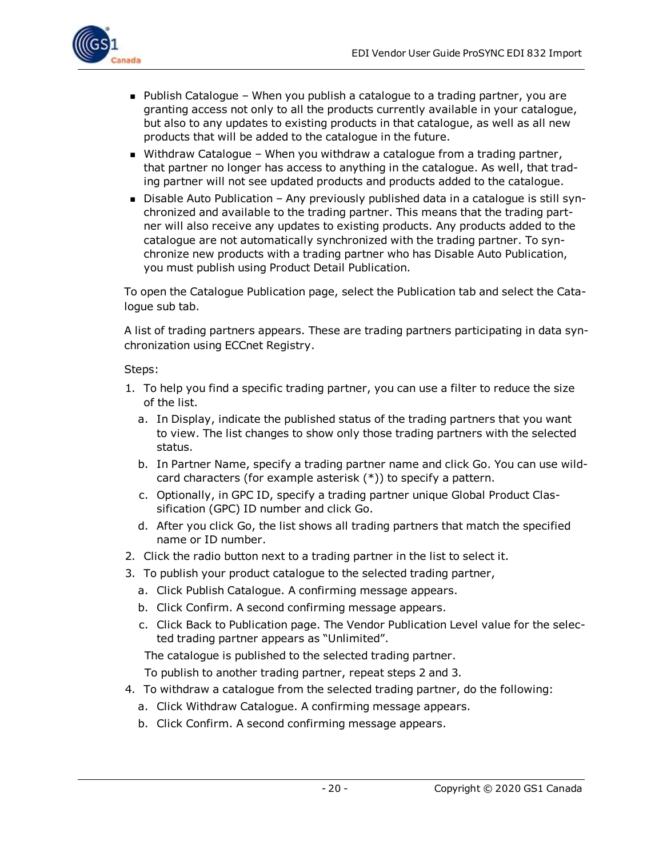

- $\blacksquare$  Publish Catalogue When you publish a catalogue to a trading partner, you are granting access not only to all the products currently available in your catalogue, but also to any updates to existing products in that catalogue, as well as all new products that will be added to the catalogue in the future.
- Withdraw Catalogue When you withdraw a catalogue from a trading partner, that partner no longer has access to anything in the catalogue. As well, that trading partner will not see updated products and products added to the catalogue.
- Disable Auto Publication Any previously published data in a catalogue is still synchronized and available to the trading partner. This means that the trading partner will also receive any updates to existing products. Any products added to the catalogue are not automatically synchronized with the trading partner. To synchronize new products with a trading partner who has Disable Auto Publication, you must publish using Product Detail Publication.

To open the Catalogue Publication page, select the Publication tab and select the Catalogue sub tab.

A list of trading partners appears. These are trading partners participating in data synchronization using ECCnet Registry.

#### Steps:

- 1. To help you find a specific trading partner, you can use a filter to reduce the size of the list.
	- a. In Display, indicate the published status of the trading partners that you want to view. The list changes to show only those trading partners with the selected status.
	- b. In Partner Name, specify a trading partner name and click Go. You can use wildcard characters (for example asterisk (\*)) to specify a pattern.
	- c. Optionally, in GPC ID, specify a trading partner unique Global Product Classification (GPC) ID number and click Go.
	- d. After you click Go, the list shows all trading partners that match the specified name or ID number.
- 2. Click the radio button next to a trading partner in the list to select it.
- 3. To publish your product catalogue to the selected trading partner,
	- a. Click Publish Catalogue. A confirming message appears.
	- b. Click Confirm. A second confirming message appears.
	- c. Click Back to Publication page. The Vendor Publication Level value for the selected trading partner appears as "Unlimited".

The catalogue is published to the selected trading partner.

To publish to another trading partner, repeat steps 2 and 3.

- 4. To withdraw a catalogue from the selected trading partner, do the following:
	- a. Click Withdraw Catalogue. A confirming message appears.
	- b. Click Confirm. A second confirming message appears.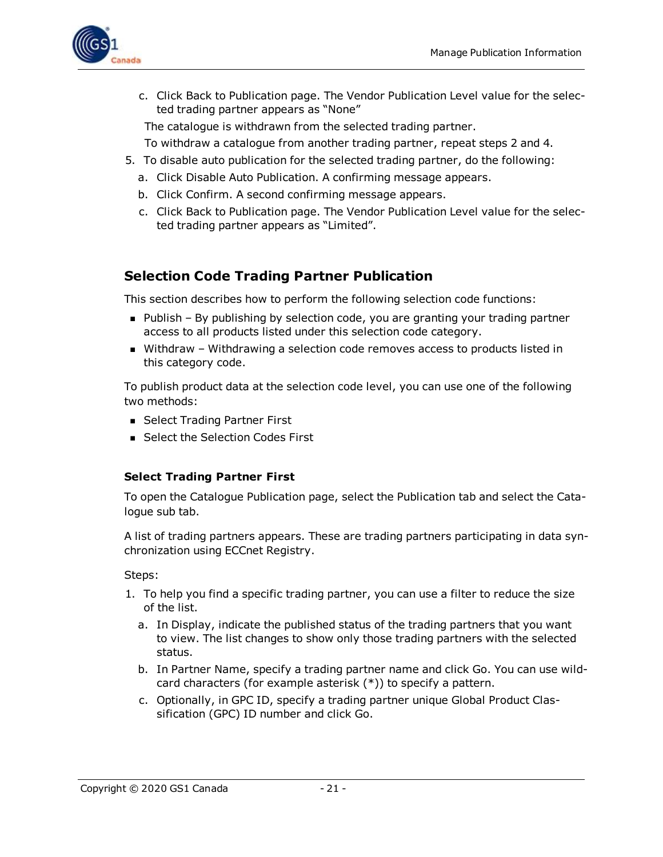

c. Click Back to Publication page. The Vendor Publication Level value for the selected trading partner appears as "None"

The catalogue is withdrawn from the selected trading partner.

- To withdraw a catalogue from another trading partner, repeat steps 2 and 4.
- 5. To disable auto publication for the selected trading partner, do the following:
	- a. Click Disable Auto Publication. A confirming message appears.
	- b. Click Confirm. A second confirming message appears.
	- c. Click Back to Publication page. The Vendor Publication Level value for the selected trading partner appears as "Limited".

#### <span id="page-20-0"></span>**Selection Code Trading Partner Publication**

This section describes how to perform the following selection code functions:

- Publish By publishing by selection code, you are granting your trading partner access to all products listed under this selection code category.
- Withdraw Withdrawing a selection code removes access to products listed in this category code.

To publish product data at the selection code level, you can use one of the following two methods:

- Select Trading Partner First
- Select the Selection Codes First

#### <span id="page-20-1"></span>**Select Trading Partner First**

To open the Catalogue Publication page, select the Publication tab and select the Catalogue sub tab.

A list of trading partners appears. These are trading partners participating in data synchronization using ECCnet Registry.

Steps:

- 1. To help you find a specific trading partner, you can use a filter to reduce the size of the list.
	- a. In Display, indicate the published status of the trading partners that you want to view. The list changes to show only those trading partners with the selected status.
	- b. In Partner Name, specify a trading partner name and click Go. You can use wildcard characters (for example asterisk (\*)) to specify a pattern.
	- c. Optionally, in GPC ID, specify a trading partner unique Global Product Classification (GPC) ID number and click Go.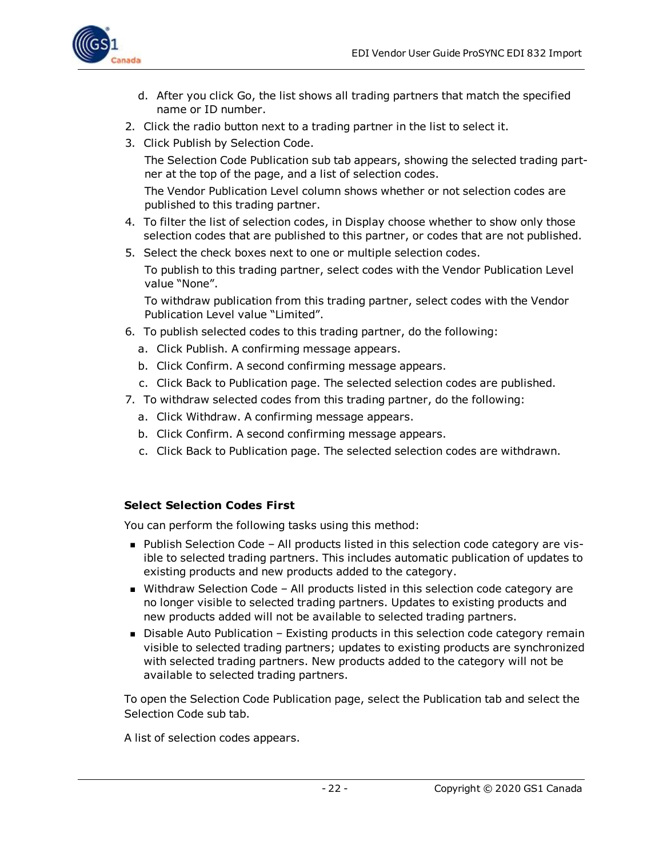

- d. After you click Go, the list shows all trading partners that match the specified name or ID number.
- 2. Click the radio button next to a trading partner in the list to select it.
- 3. Click Publish by Selection Code.

The Selection Code Publication sub tab appears, showing the selected trading partner at the top of the page, and a list of selection codes.

The Vendor Publication Level column shows whether or not selection codes are published to this trading partner.

- 4. To filter the list of selection codes, in Display choose whether to show only those selection codes that are published to this partner, or codes that are not published.
- 5. Select the check boxes next to one or multiple selection codes.

To publish to this trading partner, select codes with the Vendor Publication Level value "None".

To withdraw publication from this trading partner, select codes with the Vendor Publication Level value "Limited".

- 6. To publish selected codes to this trading partner, do the following:
	- a. Click Publish. A confirming message appears.
	- b. Click Confirm. A second confirming message appears.
	- c. Click Back to Publication page. The selected selection codes are published.
- 7. To withdraw selected codes from this trading partner, do the following:
	- a. Click Withdraw. A confirming message appears.
	- b. Click Confirm. A second confirming message appears.
	- c. Click Back to Publication page. The selected selection codes are withdrawn.

#### <span id="page-21-0"></span>**Select Selection Codes First**

You can perform the following tasks using this method:

- Publish Selection Code All products listed in this selection code category are visible to selected trading partners. This includes automatic publication of updates to existing products and new products added to the category.
- Withdraw Selection Code All products listed in this selection code category are no longer visible to selected trading partners. Updates to existing products and new products added will not be available to selected trading partners.
- Disable Auto Publication Existing products in this selection code category remain visible to selected trading partners; updates to existing products are synchronized with selected trading partners. New products added to the category will not be available to selected trading partners.

To open the Selection Code Publication page, select the Publication tab and select the Selection Code sub tab.

A list of selection codes appears.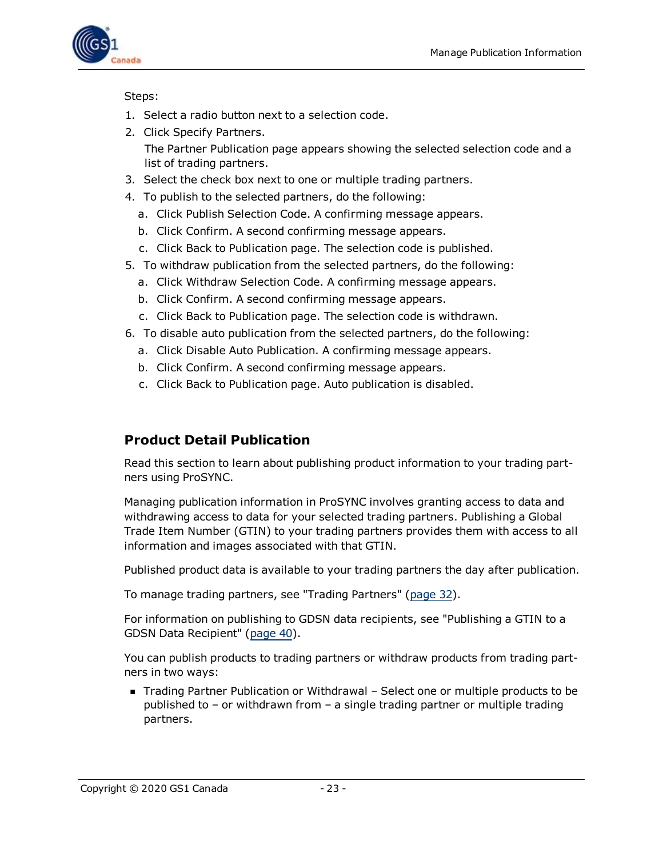

Steps:

- 1. Select a radio button next to a selection code.
- 2. Click Specify Partners. The Partner Publication page appears showing the selected selection code and a list of trading partners.
- 3. Select the check box next to one or multiple trading partners.
- 4. To publish to the selected partners, do the following:
	- a. Click Publish Selection Code. A confirming message appears.
	- b. Click Confirm. A second confirming message appears.
	- c. Click Back to Publication page. The selection code is published.
- 5. To withdraw publication from the selected partners, do the following:
	- a. Click Withdraw Selection Code. A confirming message appears.
	- b. Click Confirm. A second confirming message appears.
	- c. Click Back to Publication page. The selection code is withdrawn.
- 6. To disable auto publication from the selected partners, do the following:
	- a. Click Disable Auto Publication. A confirming message appears.
	- b. Click Confirm. A second confirming message appears.
	- c. Click Back to Publication page. Auto publication is disabled.

#### <span id="page-22-0"></span>**Product Detail Publication**

Read this section to learn about publishing product information to your trading partners using ProSYNC.

Managing publication information in ProSYNC involves granting access to data and withdrawing access to data for your selected trading partners. Publishing a Global Trade Item Number (GTIN) to your trading partners provides them with access to all information and images associated with that GTIN.

Published product data is available to your trading partners the day after publication.

To manage trading partners, see "Trading Partners" ([page](#page-31-1) 32).

For information on publishing to GDSN data recipients, see "Publishing a GTIN to a GDSN Data Recipient" [\(page](#page-39-0) 40).

You can publish products to trading partners or withdraw products from trading partners in two ways:

■ Trading Partner Publication or Withdrawal – Select one or multiple products to be published to – or withdrawn from – a single trading partner or multiple trading partners.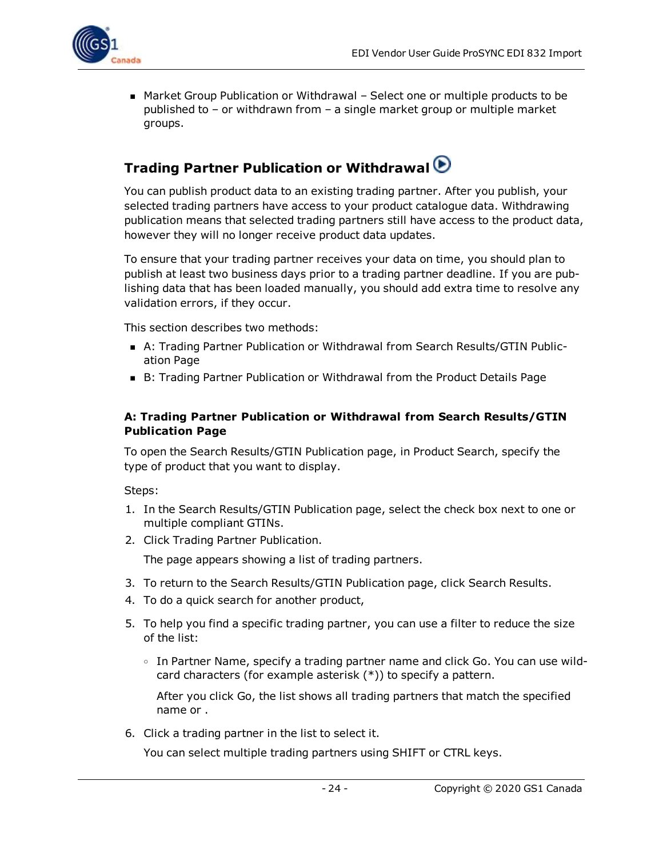

■ Market Group Publication or Withdrawal – Select one or multiple products to be published to – or withdrawn from – a single market group or multiple market groups.

### <span id="page-23-0"></span>**Trading Partner Publication or Withdrawal**

You can publish product data to an existing trading partner. After you publish, your selected trading partners have access to your product catalogue data. Withdrawing publication means that selected trading partners still have access to the product data, however they will no longer receive product data updates.

To ensure that your trading partner receives your data on time, you should plan to publish at least two business days prior to a trading partner deadline. If you are publishing data that has been loaded manually, you should add extra time to resolve any validation errors, if they occur.

This section describes two methods:

- <sup>n</sup> A: Trading Partner Publication or Withdrawal from Search Results/GTIN Publication Page
- B: Trading Partner Publication or Withdrawal from the Product Details Page

#### <span id="page-23-1"></span>**A: Trading Partner Publication or Withdrawal from Search Results/GTIN Publication Page**

To open the Search Results/GTIN Publication page, in Product Search, specify the type of product that you want to display.

Steps:

- 1. In the Search Results/GTIN Publication page, select the check box next to one or multiple compliant GTINs.
- 2. Click Trading Partner Publication.

The page appears showing a list of trading partners.

- 3. To return to the Search Results/GTIN Publication page, click Search Results.
- 4. To do a quick search for another product,
- 5. To help you find a specific trading partner, you can use a filter to reduce the size of the list:
	- <sup>o</sup> In Partner Name, specify a trading partner name and click Go. You can use wildcard characters (for example asterisk (\*)) to specify a pattern.

After you click Go, the list shows all trading partners that match the specified name or .

6. Click a trading partner in the list to select it.

You can select multiple trading partners using SHIFT or CTRL keys.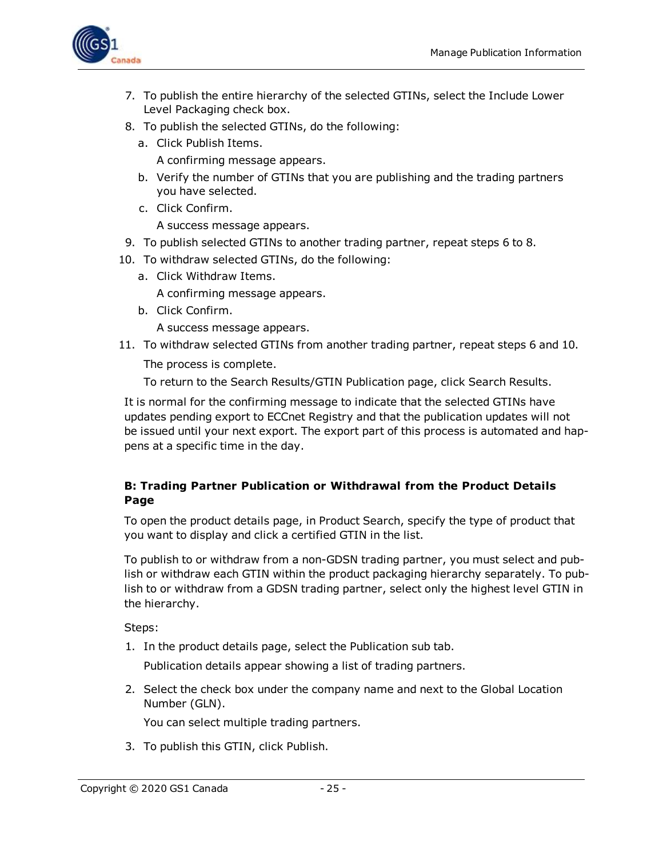

- 7. To publish the entire hierarchy of the selected GTINs, select the Include Lower Level Packaging check box.
- 8. To publish the selected GTINs, do the following:
	- a. Click Publish Items.

A confirming message appears.

- b. Verify the number of GTINs that you are publishing and the trading partners you have selected.
- c. Click Confirm.

A success message appears.

- 9. To publish selected GTINs to another trading partner, repeat steps 6 to 8.
- 10. To withdraw selected GTINs, do the following:
	- a. Click Withdraw Items.

A confirming message appears.

b. Click Confirm.

A success message appears.

11. To withdraw selected GTINs from another trading partner, repeat steps 6 and 10.

The process is complete.

To return to the Search Results/GTIN Publication page, click Search Results.

It is normal for the confirming message to indicate that the selected GTINs have updates pending export to ECCnet Registry and that the publication updates will not be issued until your next export. The export part of this process is automated and happens at a specific time in the day.

#### <span id="page-24-0"></span>**B: Trading Partner Publication or Withdrawal from the Product Details Page**

To open the product details page, in Product Search, specify the type of product that you want to display and click a certified GTIN in the list.

To publish to or withdraw from a non-GDSN trading partner, you must select and publish or withdraw each GTIN within the product packaging hierarchy separately. To publish to or withdraw from a GDSN trading partner, select only the highest level GTIN in the hierarchy.

Steps:

1. In the product details page, select the Publication sub tab.

Publication details appear showing a list of trading partners.

2. Select the check box under the company name and next to the Global Location Number (GLN).

You can select multiple trading partners.

3. To publish this GTIN, click Publish.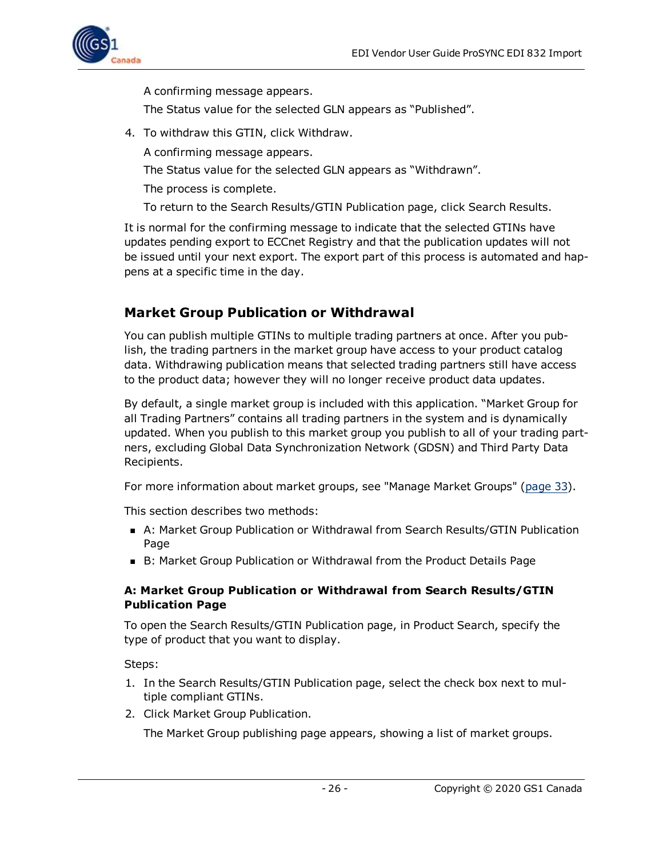

A confirming message appears.

The Status value for the selected GLN appears as "Published".

- 4. To withdraw this GTIN, click Withdraw.
	- A confirming message appears.
	- The Status value for the selected GLN appears as "Withdrawn".
	- The process is complete.
	- To return to the Search Results/GTIN Publication page, click Search Results.

It is normal for the confirming message to indicate that the selected GTINs have updates pending export to ECCnet Registry and that the publication updates will not be issued until your next export. The export part of this process is automated and happens at a specific time in the day.

### <span id="page-25-0"></span>**Market Group Publication or Withdrawal**

You can publish multiple GTINs to multiple trading partners at once. After you publish, the trading partners in the market group have access to your product catalog data. Withdrawing publication means that selected trading partners still have access to the product data; however they will no longer receive product data updates.

By default, a single market group is included with this application. "Market Group for all Trading Partners" contains all trading partners in the system and is dynamically updated. When you publish to this market group you publish to all of your trading partners, excluding Global Data Synchronization Network (GDSN) and Third Party Data Recipients.

For more information about market groups, see "Manage Market Groups" [\(page](#page-32-1) 33).

This section describes two methods:

- A: Market Group Publication or Withdrawal from Search Results/GTIN Publication Page
- B: Market Group Publication or Withdrawal from the Product Details Page

#### <span id="page-25-1"></span>**A: Market Group Publication or Withdrawal from Search Results/GTIN Publication Page**

To open the Search Results/GTIN Publication page, in Product Search, specify the type of product that you want to display.

Steps:

- 1. In the Search Results/GTIN Publication page, select the check box next to multiple compliant GTINs.
- 2. Click Market Group Publication.

The Market Group publishing page appears, showing a list of market groups.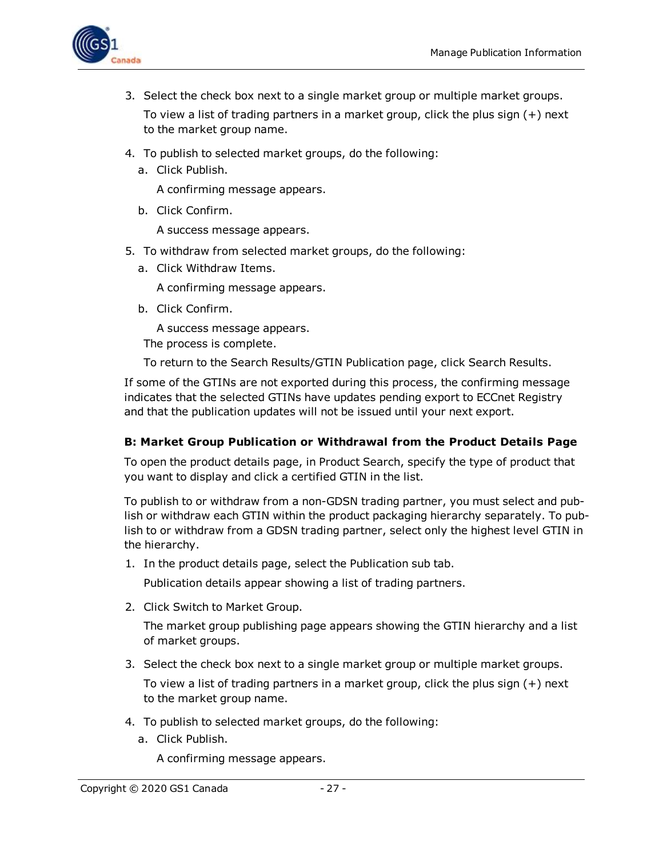

- 3. Select the check box next to a single market group or multiple market groups. To view a list of trading partners in a market group, click the plus sign (+) next to the market group name.
- 4. To publish to selected market groups, do the following:
	- a. Click Publish.

A confirming message appears.

b. Click Confirm.

A success message appears.

- 5. To withdraw from selected market groups, do the following:
	- a. Click Withdraw Items.

A confirming message appears.

b. Click Confirm.

A success message appears.

The process is complete.

To return to the Search Results/GTIN Publication page, click Search Results.

If some of the GTINs are not exported during this process, the confirming message indicates that the selected GTINs have updates pending export to ECCnet Registry and that the publication updates will not be issued until your next export.

#### <span id="page-26-0"></span>**B: Market Group Publication or Withdrawal from the Product Details Page**

To open the product details page, in Product Search, specify the type of product that you want to display and click a certified GTIN in the list.

To publish to or withdraw from a non-GDSN trading partner, you must select and publish or withdraw each GTIN within the product packaging hierarchy separately. To publish to or withdraw from a GDSN trading partner, select only the highest level GTIN in the hierarchy.

1. In the product details page, select the Publication sub tab.

Publication details appear showing a list of trading partners.

2. Click Switch to Market Group.

The market group publishing page appears showing the GTIN hierarchy and a list of market groups.

3. Select the check box next to a single market group or multiple market groups.

To view a list of trading partners in a market group, click the plus sign (+) next to the market group name.

- 4. To publish to selected market groups, do the following:
	- a. Click Publish.

A confirming message appears.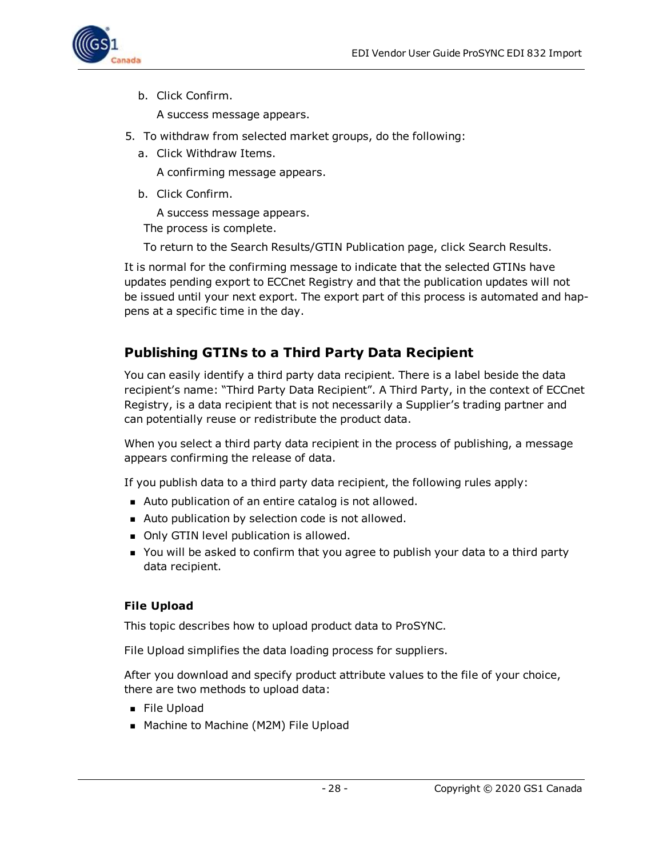

b. Click Confirm.

A success message appears.

- 5. To withdraw from selected market groups, do the following:
	- a. Click Withdraw Items.

A confirming message appears.

b. Click Confirm.

A success message appears.

The process is complete.

To return to the Search Results/GTIN Publication page, click Search Results.

It is normal for the confirming message to indicate that the selected GTINs have updates pending export to ECCnet Registry and that the publication updates will not be issued until your next export. The export part of this process is automated and happens at a specific time in the day.

### <span id="page-27-0"></span>**Publishing GTINs to a Third Party Data Recipient**

You can easily identify a third party data recipient. There is a label beside the data recipient's name: "Third Party Data Recipient". A Third Party, in the context of ECCnet Registry, is a data recipient that is not necessarily a Supplier's trading partner and can potentially reuse or redistribute the product data.

When you select a third party data recipient in the process of publishing, a message appears confirming the release of data.

If you publish data to a third party data recipient, the following rules apply:

- Auto publication of an entire catalog is not allowed.
- Auto publication by selection code is not allowed.
- Only GTIN level publication is allowed.
- **n** You will be asked to confirm that you agree to publish your data to a third party data recipient.

#### <span id="page-27-1"></span>**File Upload**

This topic describes how to upload product data to ProSYNC.

File Upload simplifies the data loading process for suppliers.

After you download and specify product attribute values to the file of your choice, there are two methods to upload data:

- <sup>n</sup> File Upload
- Machine to Machine (M2M) File Upload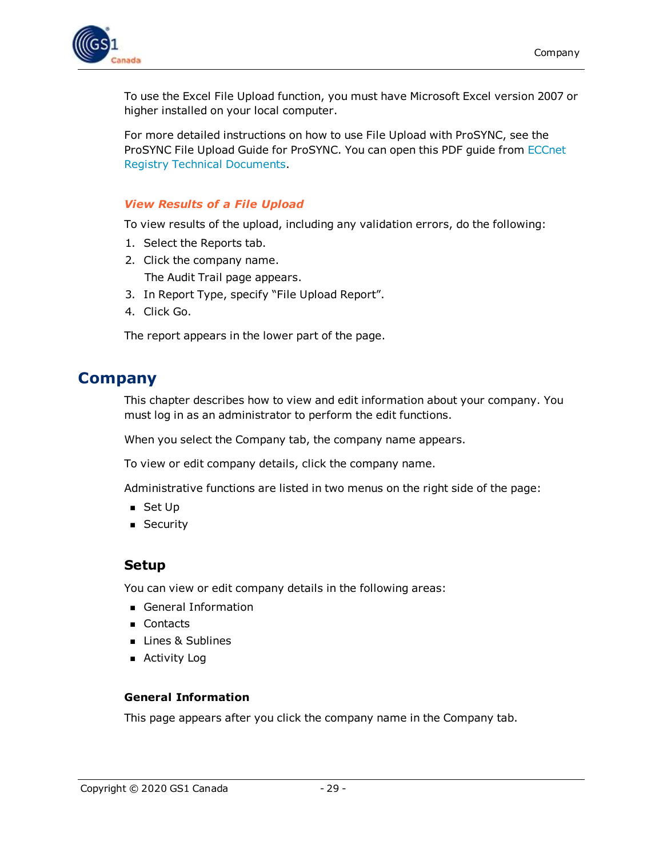

To use the Excel File Upload function, you must have Microsoft Excel version 2007 or higher installed on your local computer.

For more detailed instructions on how to use File Upload with ProSYNC, see the ProSYNC File Upload Guide for ProSYNC. You can open this PDF guide from [ECCnet](http://www.gs1ca.org/apps/eccnet/documents.asp) Registry Technical [Documents](http://www.gs1ca.org/apps/eccnet/documents.asp).

#### <span id="page-28-0"></span>*View Results of a File Upload*

To view results of the upload, including any validation errors, do the following:

- 1. Select the Reports tab.
- 2. Click the company name. The Audit Trail page appears.
- 3. In Report Type, specify "File Upload Report".
- 4. Click Go.

The report appears in the lower part of the page.

### <span id="page-28-1"></span>**Company**

This chapter describes how to view and edit information about your company. You must log in as an administrator to perform the edit functions.

When you select the Company tab, the company name appears.

To view or edit company details, click the company name.

Administrative functions are listed in two menus on the right side of the page:

- $\blacksquare$  Set Up
- **B** Security

#### <span id="page-28-2"></span>**Setup**

You can view or edit company details in the following areas:

- General Information
- **n** Contacts
- **n** Lines & Sublines
- **n** Activity Log

#### <span id="page-28-3"></span>**General Information**

This page appears after you click the company name in the Company tab.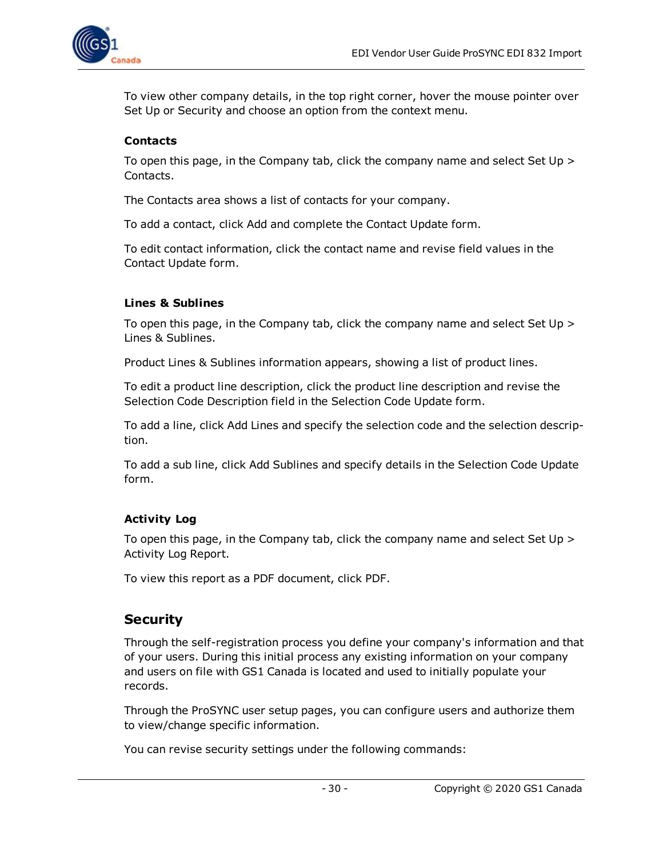

To view other company details, in the top right corner, hover the mouse pointer over Set Up or Security and choose an option from the context menu.

#### <span id="page-29-0"></span>**Contacts**

To open this page, in the Company tab, click the company name and select Set Up > Contacts.

The Contacts area shows a list of contacts for your company.

To add a contact, click Add and complete the Contact Update form.

To edit contact information, click the contact name and revise field values in the Contact Update form.

#### <span id="page-29-1"></span>**Lines & Sublines**

To open this page, in the Company tab, click the company name and select Set Up > Lines & Sublines.

Product Lines & Sublines information appears, showing a list of product lines.

To edit a product line description, click the product line description and revise the Selection Code Description field in the Selection Code Update form.

To add a line, click Add Lines and specify the selection code and the selection description.

To add a sub line, click Add Sublines and specify details in the Selection Code Update form.

#### <span id="page-29-2"></span>**Activity Log**

To open this page, in the Company tab, click the company name and select Set Up > Activity Log Report.

To view this report as a PDF document, click PDF.

#### <span id="page-29-3"></span>**Security**

Through the self-registration process you define your company's information and that of your users. During this initial process any existing information on your company and users on file with GS1 Canada is located and used to initially populate your records.

Through the ProSYNC user setup pages, you can configure users and authorize them to view/change specific information.

You can revise security settings under the following commands: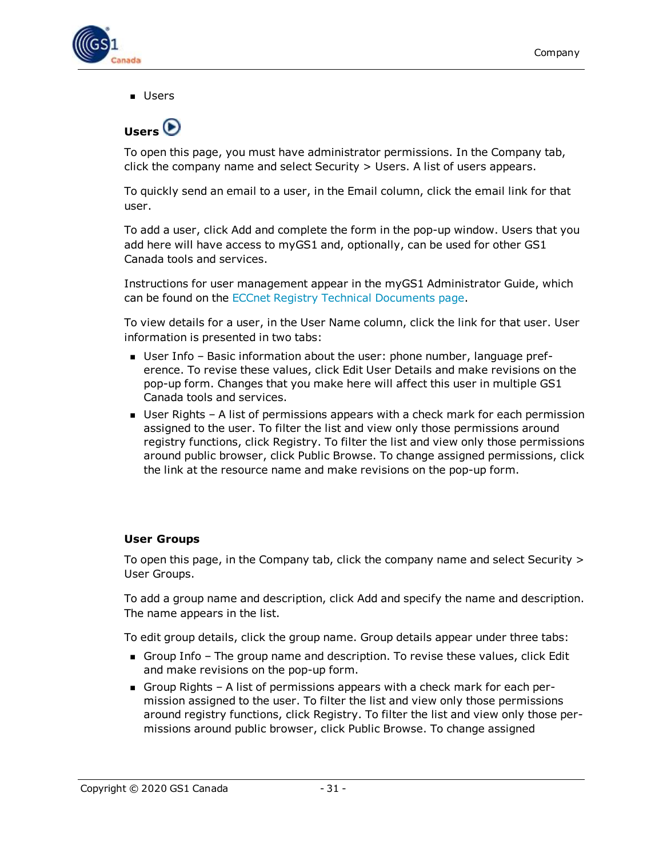

<span id="page-30-0"></span>**n** Users



To open this page, you must have administrator permissions. In the Company tab, click the company name and select Security > Users. A list of users appears.

To quickly send an email to a user, in the Email column, click the email link for that user.

To add a user, click Add and complete the form in the pop-up window. Users that you add here will have access to myGS1 and, optionally, can be used for other GS1 Canada tools and services.

Instructions for user management appear in the myGS1 Administrator Guide, which can be found on the ECCnet Registry Technical [Documents](http://www.gs1ca.org/apps/eccnet/documents.asp) page.

To view details for a user, in the User Name column, click the link for that user. User information is presented in two tabs:

- <sup>n</sup> User Info Basic information about the user: phone number, language preference. To revise these values, click Edit User Details and make revisions on the pop-up form. Changes that you make here will affect this user in multiple GS1 Canada tools and services.
- User Rights A list of permissions appears with a check mark for each permission assigned to the user. To filter the list and view only those permissions around registry functions, click Registry. To filter the list and view only those permissions around public browser, click Public Browse. To change assigned permissions, click the link at the resource name and make revisions on the pop-up form.

#### <span id="page-30-1"></span>**User Groups**

To open this page, in the Company tab, click the company name and select Security > User Groups.

To add a group name and description, click Add and specify the name and description. The name appears in the list.

To edit group details, click the group name. Group details appear under three tabs:

- **n** Group Info The group name and description. To revise these values, click Edit and make revisions on the pop-up form.
- Group Rights A list of permissions appears with a check mark for each permission assigned to the user. To filter the list and view only those permissions around registry functions, click Registry. To filter the list and view only those permissions around public browser, click Public Browse. To change assigned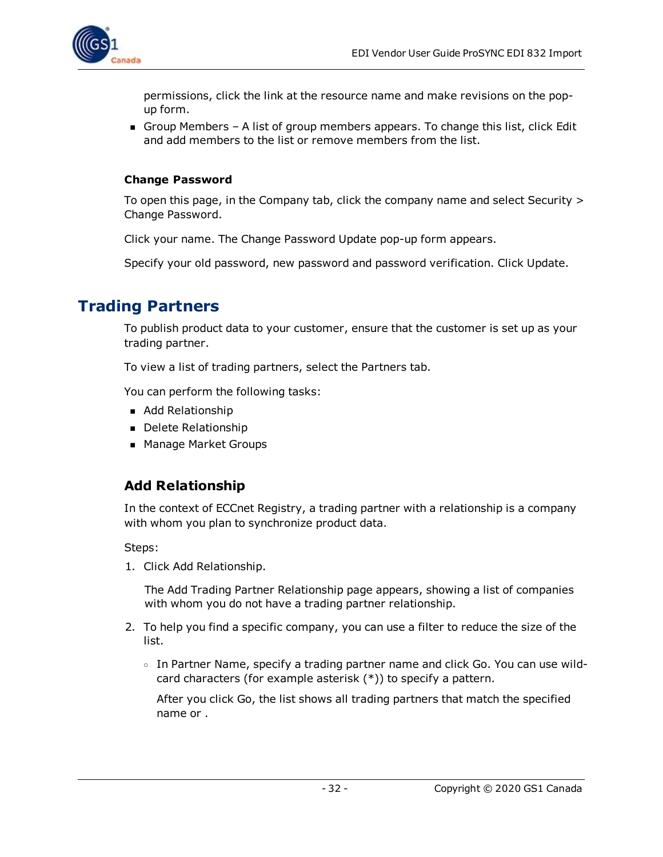

permissions, click the link at the resource name and make revisions on the popup form.

Group Members – A list of group members appears. To change this list, click Edit and add members to the list or remove members from the list.

#### <span id="page-31-0"></span>**Change Password**

To open this page, in the Company tab, click the company name and select Security > Change Password.

Click your name. The Change Password Update pop-up form appears.

Specify your old password, new password and password verification. Click Update.

### <span id="page-31-1"></span>**Trading Partners**

To publish product data to your customer, ensure that the customer is set up as your trading partner.

To view a list of trading partners, select the Partners tab.

You can perform the following tasks:

- Add Relationship
- Delete Relationship
- Manage Market Groups

### <span id="page-31-2"></span>**Add Relationship**

In the context of ECCnet Registry, a trading partner with a relationship is a company with whom you plan to synchronize product data.

Steps:

1. Click Add Relationship.

The Add Trading Partner Relationship page appears, showing a list of companies with whom you do not have a trading partner relationship.

- 2. To help you find a specific company, you can use a filter to reduce the size of the list.
	- <sup>o</sup> In Partner Name, specify a trading partner name and click Go. You can use wildcard characters (for example asterisk (\*)) to specify a pattern.

After you click Go, the list shows all trading partners that match the specified name or .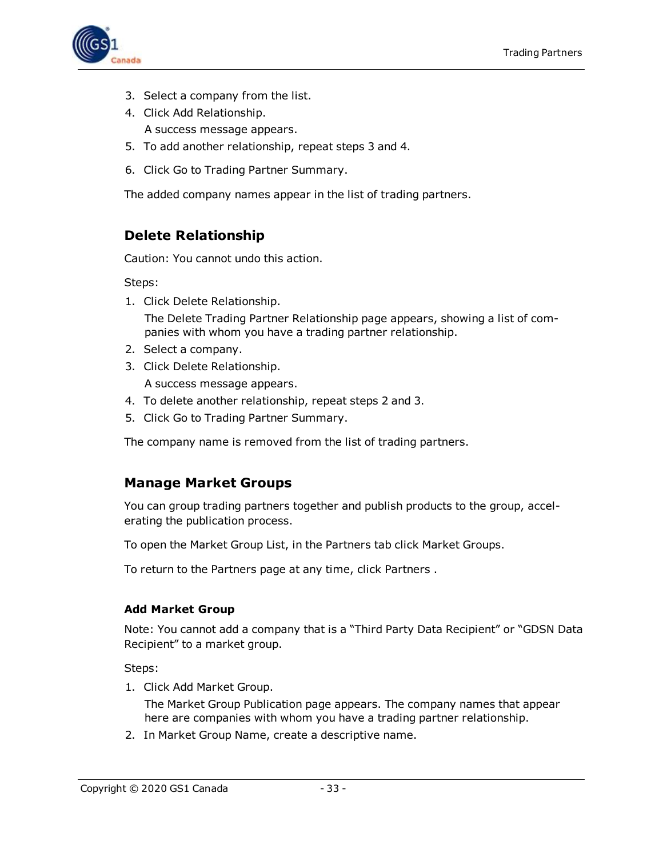

- 3. Select a company from the list.
- 4. Click Add Relationship. A success message appears.
- 5. To add another relationship, repeat steps 3 and 4.
- 6. Click Go to Trading Partner Summary.

The added company names appear in the list of trading partners.

#### <span id="page-32-0"></span>**Delete Relationship**

Caution: You cannot undo this action.

Steps:

- 1. Click Delete Relationship. The Delete Trading Partner Relationship page appears, showing a list of companies with whom you have a trading partner relationship.
- 2. Select a company.
- 3. Click Delete Relationship.
	- A success message appears.
- 4. To delete another relationship, repeat steps 2 and 3.
- 5. Click Go to Trading Partner Summary.

The company name is removed from the list of trading partners.

#### <span id="page-32-1"></span>**Manage Market Groups**

You can group trading partners together and publish products to the group, accelerating the publication process.

To open the Market Group List, in the Partners tab click Market Groups.

To return to the Partners page at any time, click Partners .

#### <span id="page-32-2"></span>**Add Market Group**

Note: You cannot add a company that is a "Third Party Data Recipient" or "GDSN Data Recipient" to a market group.

Steps:

1. Click Add Market Group.

The Market Group Publication page appears. The company names that appear here are companies with whom you have a trading partner relationship.

2. In Market Group Name, create a descriptive name.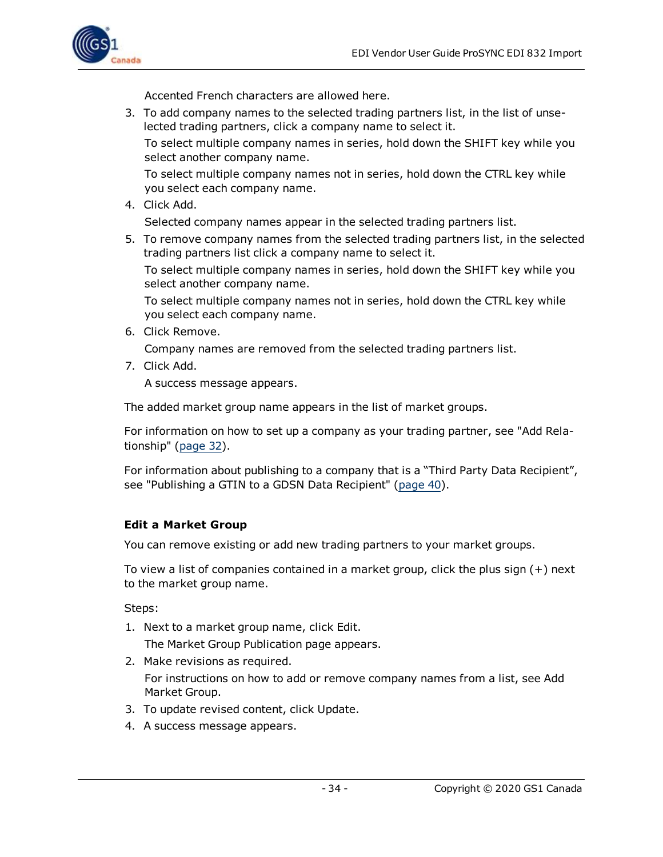

Accented French characters are allowed here.

3. To add company names to the selected trading partners list, in the list of unselected trading partners, click a company name to select it.

To select multiple company names in series, hold down the SHIFT key while you select another company name.

To select multiple company names not in series, hold down the CTRL key while you select each company name.

4. Click Add.

Selected company names appear in the selected trading partners list.

5. To remove company names from the selected trading partners list, in the selected trading partners list click a company name to select it.

To select multiple company names in series, hold down the SHIFT key while you select another company name.

To select multiple company names not in series, hold down the CTRL key while you select each company name.

6. Click Remove.

Company names are removed from the selected trading partners list.

7. Click Add.

A success message appears.

The added market group name appears in the list of market groups.

For information on how to set up a company as your trading partner, see "Add Relationship" ([page](#page-31-2) 32).

For information about publishing to a company that is a "Third Party Data Recipient", see "Publishing a GTIN to a GDSN Data Recipient" [\(page](#page-39-0) 40).

#### <span id="page-33-0"></span>**Edit a Market Group**

You can remove existing or add new trading partners to your market groups.

To view a list of companies contained in a market group, click the plus sign (+) next to the market group name.

Steps:

- 1. Next to a market group name, click Edit. The Market Group Publication page appears.
- 2. Make revisions as required.

For instructions on how to add or remove company names from a list, see Add Market Group.

- 3. To update revised content, click Update.
- 4. A success message appears.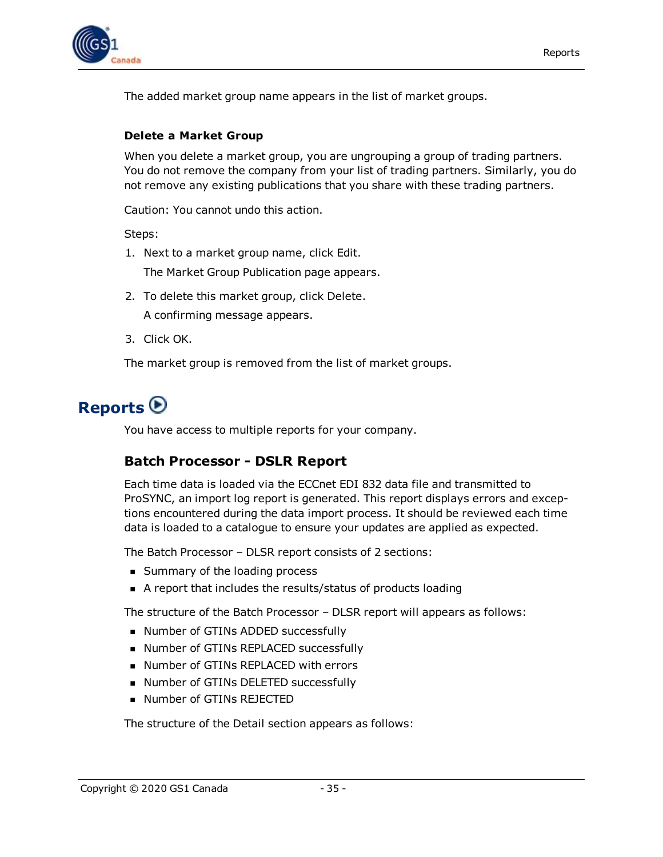

The added market group name appears in the list of market groups.

#### <span id="page-34-0"></span>**Delete a Market Group**

When you delete a market group, you are ungrouping a group of trading partners. You do not remove the company from your list of trading partners. Similarly, you do not remove any existing publications that you share with these trading partners.

Caution: You cannot undo this action.

Steps:

- 1. Next to a market group name, click Edit. The Market Group Publication page appears.
- 2. To delete this market group, click Delete. A confirming message appears.
- 3. Click OK.

The market group is removed from the list of market groups.

### <span id="page-34-1"></span>**Reports**

<span id="page-34-2"></span>You have access to multiple reports for your company.

#### **Batch Processor - DSLR Report**

Each time data is loaded via the ECCnet EDI 832 data file and transmitted to ProSYNC, an import log report is generated. This report displays errors and exceptions encountered during the data import process. It should be reviewed each time data is loaded to a catalogue to ensure your updates are applied as expected.

The Batch Processor – DLSR report consists of 2 sections:

- **Bummary of the loading process**
- A report that includes the results/status of products loading

The structure of the Batch Processor – DLSR report will appears as follows:

- Number of GTINs ADDED successfully
- Number of GTINs REPLACED successfully
- Number of GTINs REPLACED with errors
- Number of GTINs DELETED successfully
- **Number of GTINs REJECTED**

The structure of the Detail section appears as follows: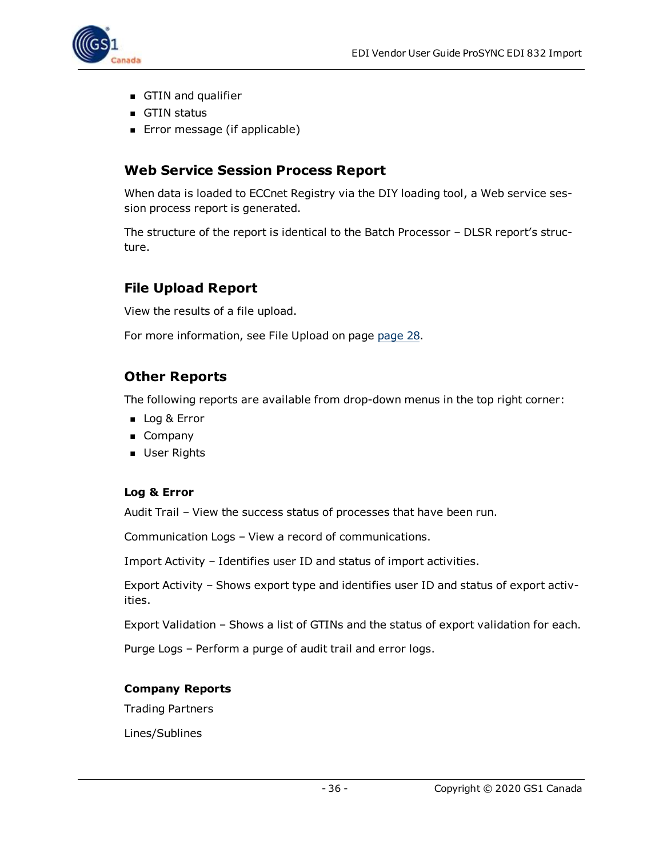

- GTIN and qualifier
- **n** GTIN status
- **Error message (if applicable)**

#### <span id="page-35-0"></span>**Web Service Session Process Report**

When data is loaded to ECCnet Registry via the DIY loading tool, a Web service session process report is generated.

The structure of the report is identical to the Batch Processor – DLSR report's structure.

#### <span id="page-35-1"></span>**File Upload Report**

View the results of a file upload.

For more information, see File Upload on page [page](#page-27-1) 28.

#### <span id="page-35-2"></span>**Other Reports**

The following reports are available from drop-down menus in the top right corner:

- **D** Log & Error
- **n** Company
- **D** User Rights

#### <span id="page-35-3"></span>**Log & Error**

Audit Trail – View the success status of processes that have been run.

Communication Logs – View a record of communications.

Import Activity – Identifies user ID and status of import activities.

Export Activity – Shows export type and identifies user ID and status of export activities.

Export Validation – Shows a list of GTINs and the status of export validation for each.

Purge Logs – Perform a purge of audit trail and error logs.

#### <span id="page-35-4"></span>**Company Reports**

Trading Partners

Lines/Sublines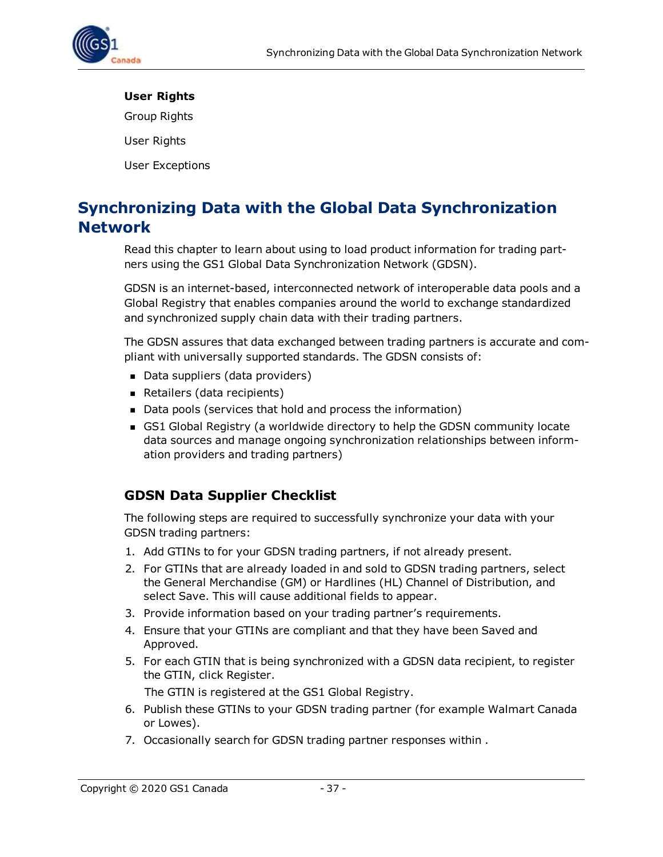

#### <span id="page-36-0"></span>**User Rights**

Group Rights

User Rights

User Exceptions

### <span id="page-36-1"></span>**Synchronizing Data with the Global Data Synchronization Network**

Read this chapter to learn about using to load product information for trading partners using the GS1 Global Data Synchronization Network (GDSN).

GDSN is an internet-based, interconnected network of interoperable data pools and a Global Registry that enables companies around the world to exchange standardized and synchronized supply chain data with their trading partners.

The GDSN assures that data exchanged between trading partners is accurate and compliant with universally supported standards. The GDSN consists of:

- Data suppliers (data providers)
- Retailers (data recipients)
- Data pools (services that hold and process the information)
- GS1 Global Registry (a worldwide directory to help the GDSN community locate data sources and manage ongoing synchronization relationships between information providers and trading partners)

#### <span id="page-36-2"></span>**GDSN Data Supplier Checklist**

The following steps are required to successfully synchronize your data with your GDSN trading partners:

- 1. Add GTINs to for your GDSN trading partners, if not already present.
- 2. For GTINs that are already loaded in and sold to GDSN trading partners, select the General Merchandise (GM) or Hardlines (HL) Channel of Distribution, and select Save. This will cause additional fields to appear.
- 3. Provide information based on your trading partner's requirements.
- 4. Ensure that your GTINs are compliant and that they have been Saved and Approved.
- 5. For each GTIN that is being synchronized with a GDSN data recipient, to register the GTIN, click Register.

The GTIN is registered at the GS1 Global Registry.

- 6. Publish these GTINs to your GDSN trading partner (for example Walmart Canada or Lowes).
- 7. Occasionally search for GDSN trading partner responses within .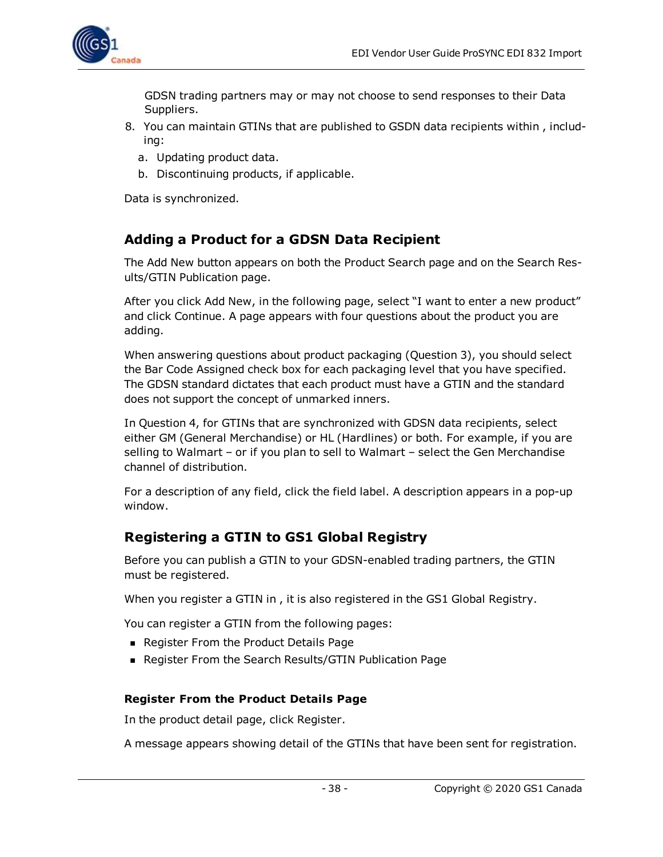

GDSN trading partners may or may not choose to send responses to their Data Suppliers.

- 8. You can maintain GTINs that are published to GSDN data recipients within , including:
	- a. Updating product data.
	- b. Discontinuing products, if applicable.

Data is synchronized.

#### <span id="page-37-0"></span>**Adding a Product for a GDSN Data Recipient**

The Add New button appears on both the Product Search page and on the Search Results/GTIN Publication page.

After you click Add New, in the following page, select "I want to enter a new product" and click Continue. A page appears with four questions about the product you are adding.

When answering questions about product packaging (Question 3), you should select the Bar Code Assigned check box for each packaging level that you have specified. The GDSN standard dictates that each product must have a GTIN and the standard does not support the concept of unmarked inners.

In Question 4, for GTINs that are synchronized with GDSN data recipients, select either GM (General Merchandise) or HL (Hardlines) or both. For example, if you are selling to Walmart – or if you plan to sell to Walmart – select the Gen Merchandise channel of distribution.

For a description of any field, click the field label. A description appears in a pop-up window.

#### <span id="page-37-1"></span>**Registering a GTIN to GS1 Global Registry**

Before you can publish a GTIN to your GDSN-enabled trading partners, the GTIN must be registered.

When you register a GTIN in , it is also registered in the GS1 Global Registry.

You can register a GTIN from the following pages:

- **Register From the Product Details Page**
- <sup>n</sup> Register From the Search Results/GTIN Publication Page

#### <span id="page-37-2"></span>**Register From the Product Details Page**

In the product detail page, click Register.

A message appears showing detail of the GTINs that have been sent for registration.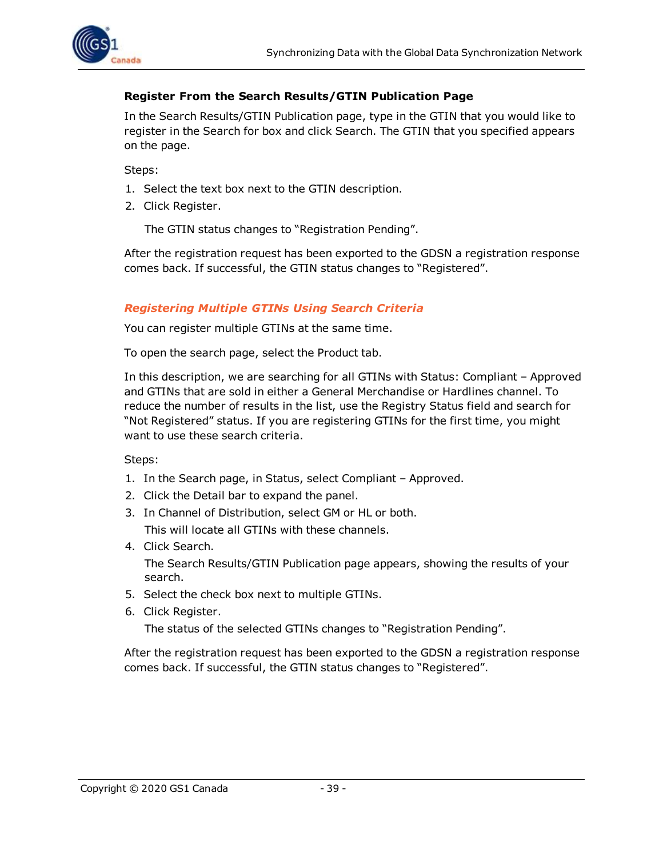

#### <span id="page-38-0"></span>**Register From the Search Results/GTIN Publication Page**

In the Search Results/GTIN Publication page, type in the GTIN that you would like to register in the Search for box and click Search. The GTIN that you specified appears on the page.

Steps:

- 1. Select the text box next to the GTIN description.
- 2. Click Register.

The GTIN status changes to "Registration Pending".

After the registration request has been exported to the GDSN a registration response comes back. If successful, the GTIN status changes to "Registered".

#### <span id="page-38-1"></span>*Registering Multiple GTINs Using Search Criteria*

You can register multiple GTINs at the same time.

To open the search page, select the Product tab.

In this description, we are searching for all GTINs with Status: Compliant – Approved and GTINs that are sold in either a General Merchandise or Hardlines channel. To reduce the number of results in the list, use the Registry Status field and search for "Not Registered" status. If you are registering GTINs for the first time, you might want to use these search criteria.

Steps:

- 1. In the Search page, in Status, select Compliant Approved.
- 2. Click the Detail bar to expand the panel.
- 3. In Channel of Distribution, select GM or HL or both. This will locate all GTINs with these channels.
- 4. Click Search.

The Search Results/GTIN Publication page appears, showing the results of your search.

- 5. Select the check box next to multiple GTINs.
- 6. Click Register.

The status of the selected GTINs changes to "Registration Pending".

After the registration request has been exported to the GDSN a registration response comes back. If successful, the GTIN status changes to "Registered".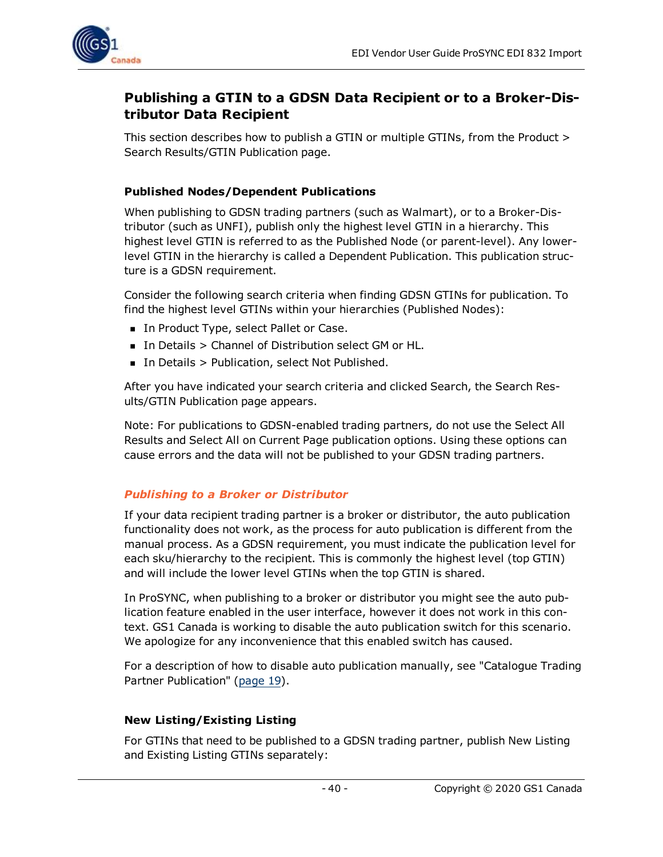

#### <span id="page-39-0"></span>**Publishing a GTIN to a GDSN Data Recipient or to a Broker-Distributor Data Recipient**

This section describes how to publish a GTIN or multiple GTINs, from the Product > Search Results/GTIN Publication page.

#### <span id="page-39-1"></span>**Published Nodes/Dependent Publications**

When publishing to GDSN trading partners (such as Walmart), or to a Broker-Distributor (such as UNFI), publish only the highest level GTIN in a hierarchy. This highest level GTIN is referred to as the Published Node (or parent-level). Any lowerlevel GTIN in the hierarchy is called a Dependent Publication. This publication structure is a GDSN requirement.

Consider the following search criteria when finding GDSN GTINs for publication. To find the highest level GTINs within your hierarchies (Published Nodes):

- In Product Type, select Pallet or Case.
- In Details > Channel of Distribution select GM or HL.
- In Details > Publication, select Not Published.

After you have indicated your search criteria and clicked Search, the Search Results/GTIN Publication page appears.

Note: For publications to GDSN-enabled trading partners, do not use the Select All Results and Select All on Current Page publication options. Using these options can cause errors and the data will not be published to your GDSN trading partners.

#### <span id="page-39-2"></span>*Publishing to a Broker or Distributor*

If your data recipient trading partner is a broker or distributor, the auto publication functionality does not work, as the process for auto publication is different from the manual process. As a GDSN requirement, you must indicate the publication level for each sku/hierarchy to the recipient. This is commonly the highest level (top GTIN) and will include the lower level GTINs when the top GTIN is shared.

In ProSYNC, when publishing to a broker or distributor you might see the auto publication feature enabled in the user interface, however it does not work in this context. GS1 Canada is working to disable the auto publication switch for this scenario. We apologize for any inconvenience that this enabled switch has caused.

For a description of how to disable auto publication manually, see "Catalogue Trading Partner Publication" [\(page](#page-18-2) 19).

#### <span id="page-39-3"></span>**New Listing/Existing Listing**

For GTINs that need to be published to a GDSN trading partner, publish New Listing and Existing Listing GTINs separately: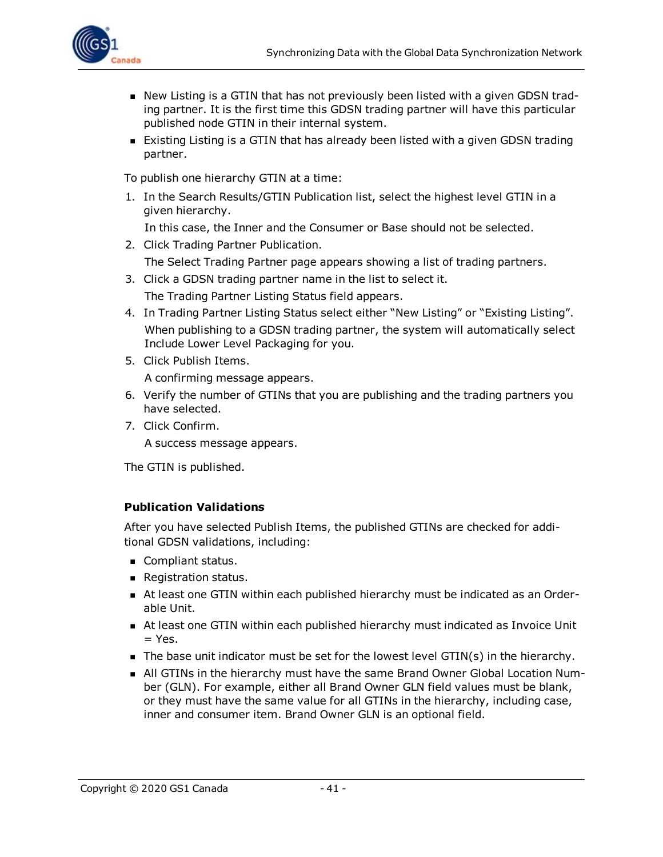

- **New Listing is a GTIN that has not previously been listed with a given GDSN trad**ing partner. It is the first time this GDSN trading partner will have this particular published node GTIN in their internal system.
- **Existing Listing is a GTIN that has already been listed with a given GDSN trading** partner.

To publish one hierarchy GTIN at a time:

1. In the Search Results/GTIN Publication list, select the highest level GTIN in a given hierarchy.

In this case, the Inner and the Consumer or Base should not be selected.

- 2. Click Trading Partner Publication. The Select Trading Partner page appears showing a list of trading partners.
- 3. Click a GDSN trading partner name in the list to select it. The Trading Partner Listing Status field appears.
- 4. In Trading Partner Listing Status select either "New Listing" or "Existing Listing". When publishing to a GDSN trading partner, the system will automatically select Include Lower Level Packaging for you.
- 5. Click Publish Items.

A confirming message appears.

- 6. Verify the number of GTINs that you are publishing and the trading partners you have selected.
- 7. Click Confirm.

A success message appears.

The GTIN is published.

#### <span id="page-40-0"></span>**Publication Validations**

After you have selected Publish Items, the published GTINs are checked for additional GDSN validations, including:

- **n** Compliant status.
- **Registration status.**
- n At least one GTIN within each published hierarchy must be indicated as an Orderable Unit.
- <sup>n</sup> At least one GTIN within each published hierarchy must indicated as Invoice Unit  $=$  Yes.
- $\blacksquare$  The base unit indicator must be set for the lowest level GTIN(s) in the hierarchy.
- n All GTINs in the hierarchy must have the same Brand Owner Global Location Number (GLN). For example, either all Brand Owner GLN field values must be blank, or they must have the same value for all GTINs in the hierarchy, including case, inner and consumer item. Brand Owner GLN is an optional field.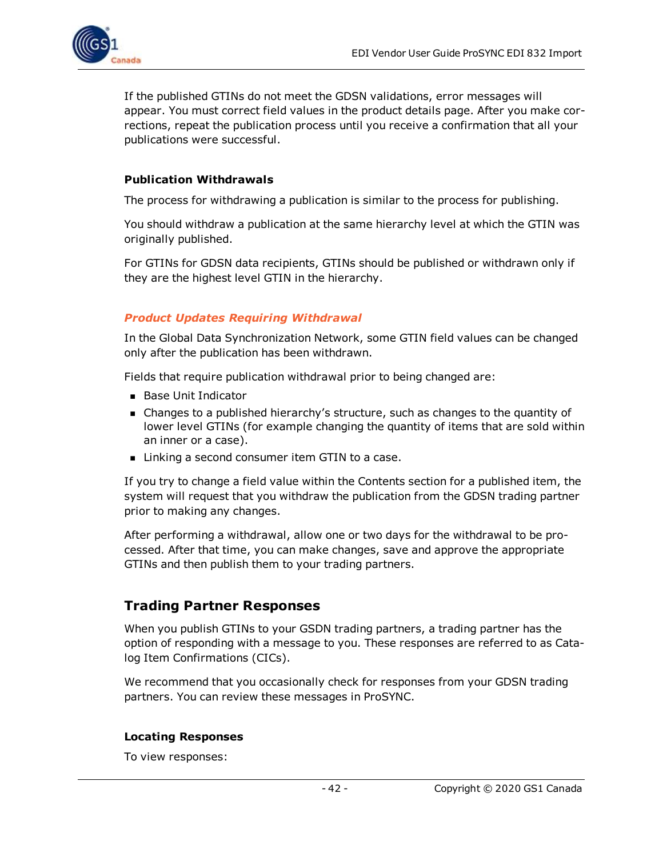

If the published GTINs do not meet the GDSN validations, error messages will appear. You must correct field values in the product details page. After you make corrections, repeat the publication process until you receive a confirmation that all your publications were successful.

#### <span id="page-41-0"></span>**Publication Withdrawals**

The process for withdrawing a publication is similar to the process for publishing.

You should withdraw a publication at the same hierarchy level at which the GTIN was originally published.

For GTINs for GDSN data recipients, GTINs should be published or withdrawn only if they are the highest level GTIN in the hierarchy.

#### <span id="page-41-1"></span>*Product Updates Requiring Withdrawal*

In the Global Data Synchronization Network, some GTIN field values can be changed only after the publication has been withdrawn.

Fields that require publication withdrawal prior to being changed are:

- Base Unit Indicator
- <sup>n</sup> Changes to a published hierarchy's structure, such as changes to the quantity of lower level GTINs (for example changing the quantity of items that are sold within an inner or a case).
- Linking a second consumer item GTIN to a case.

If you try to change a field value within the Contents section for a published item, the system will request that you withdraw the publication from the GDSN trading partner prior to making any changes.

After performing a withdrawal, allow one or two days for the withdrawal to be processed. After that time, you can make changes, save and approve the appropriate GTINs and then publish them to your trading partners.

#### <span id="page-41-2"></span>**Trading Partner Responses**

When you publish GTINs to your GSDN trading partners, a trading partner has the option of responding with a message to you. These responses are referred to as Catalog Item Confirmations (CICs).

We recommend that you occasionally check for responses from your GDSN trading partners. You can review these messages in ProSYNC.

#### <span id="page-41-3"></span>**Locating Responses**

To view responses: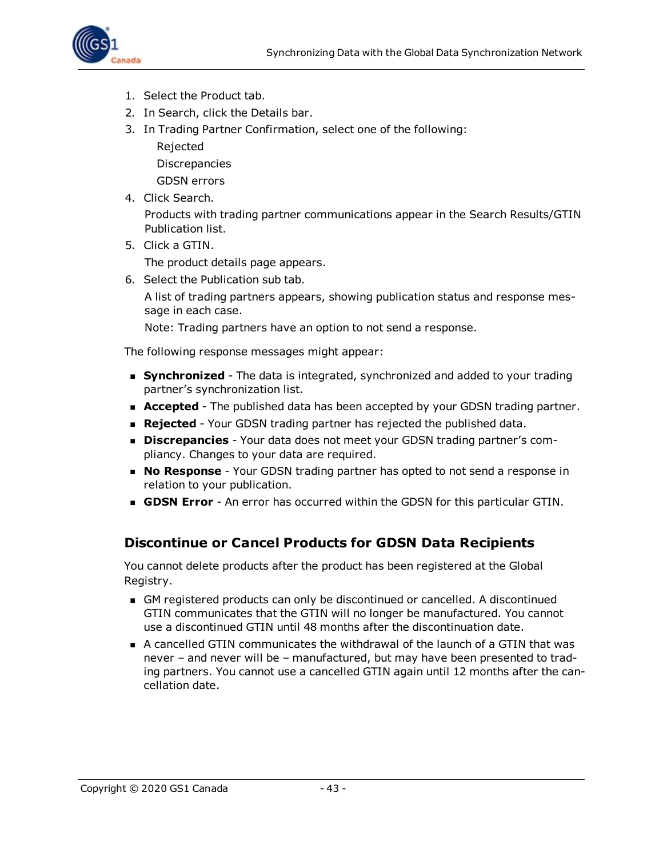

- 1. Select the Product tab.
- 2. In Search, click the Details bar.
- 3. In Trading Partner Confirmation, select one of the following:
	- Rejected

Discrepancies

GDSN errors

4. Click Search.

Products with trading partner communications appear in the Search Results/GTIN Publication list.

5. Click a GTIN.

The product details page appears.

6. Select the Publication sub tab.

A list of trading partners appears, showing publication status and response message in each case.

Note: Trading partners have an option to not send a response.

The following response messages might appear:

- **Synchronized** The data is integrated, synchronized and added to your trading partner's synchronization list.
- **Accepted** The published data has been accepted by your GDSN trading partner.
- **Rejected** Your GDSN trading partner has rejected the published data.
- **Discrepancies** Your data does not meet your GDSN trading partner's compliancy. Changes to your data are required.
- **No Response** Your GDSN trading partner has opted to not send a response in relation to your publication.
- **GDSN Error** An error has occurred within the GDSN for this particular GTIN.

#### <span id="page-42-0"></span>**Discontinue or Cancel Products for GDSN Data Recipients**

You cannot delete products after the product has been registered at the Global Registry.

- <sup>n</sup> GM registered products can only be discontinued or cancelled. A discontinued GTIN communicates that the GTIN will no longer be manufactured. You cannot use a discontinued GTIN until 48 months after the discontinuation date.
- <sup>n</sup> A cancelled GTIN communicates the withdrawal of the launch of a GTIN that was never – and never will be – manufactured, but may have been presented to trading partners. You cannot use a cancelled GTIN again until 12 months after the cancellation date.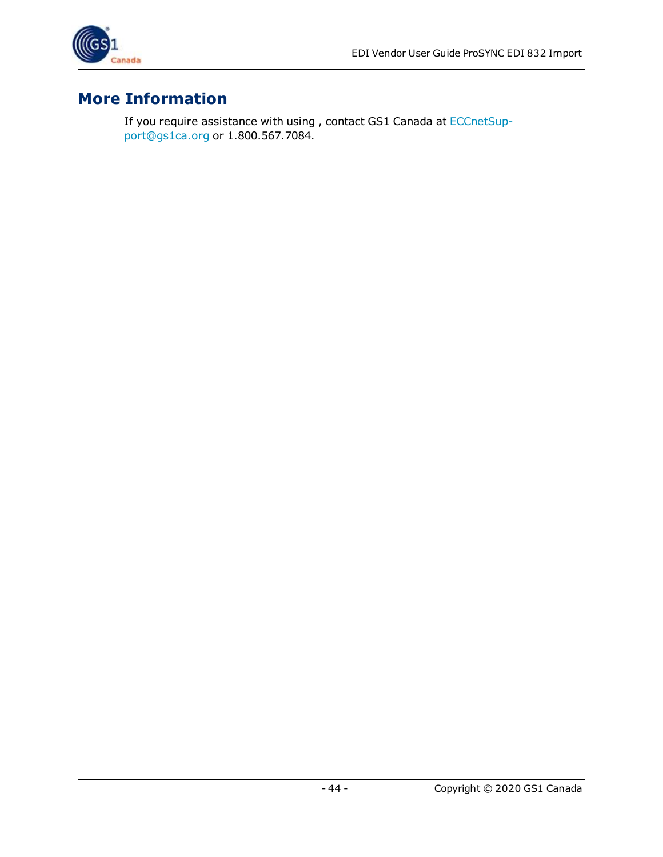

### <span id="page-43-0"></span>**More Information**

If you require assistance with using , contact GS1 Canada at [ECCnetSup](mailto:ECCnetSupport@gs1ca.org)[port@gs1ca.org](mailto:ECCnetSupport@gs1ca.org) or 1.800.567.7084.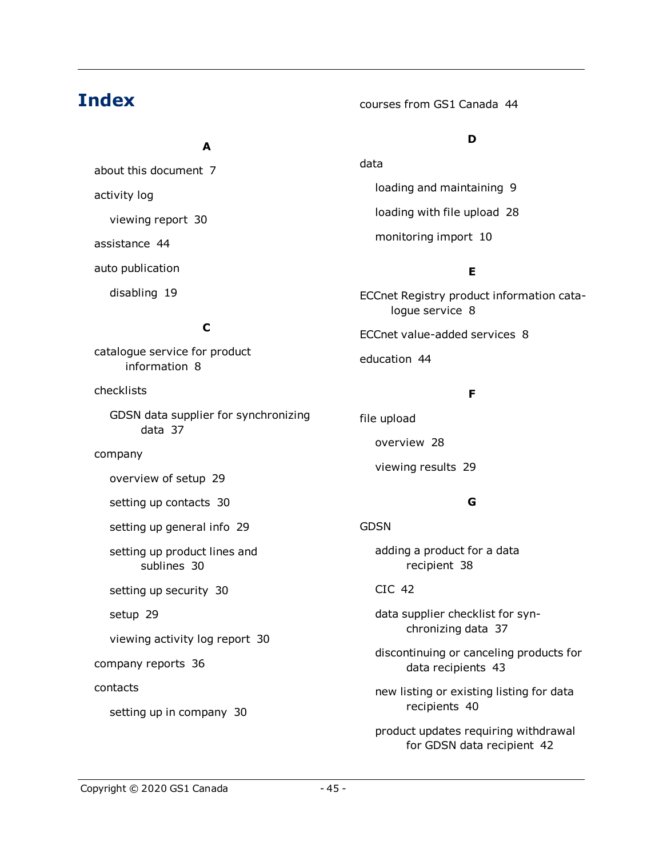### **Index**

**A**

about this document [7](#page-6-1) activity log viewing report [30](#page-29-2) assistance [44](#page-43-0) auto publication

disabling [19](#page-18-2)

courses from GS1 Canada [44](#page-43-0)

#### **D**

loading and maintaining [9](#page-8-2) loading with file upload [28](#page-27-1) monitoring import [10](#page-9-0)

#### **E**

ECCnet Registry product information catalogue service [8](#page-7-1)

ECCnet value-added services [8](#page-7-2)

education [44](#page-43-0)

data

#### **F**

file upload

overview [28](#page-27-1)

viewing results [29](#page-28-0)

#### **G**

adding a product for a data recipient [38](#page-37-0)

CIC [42](#page-41-2)

GDSN

data supplier checklist for synchronizing data [37](#page-36-2)

discontinuing or canceling products for data recipients [43](#page-42-0)

new listing or existing listing for data recipients [40](#page-39-3)

product updates requiring withdrawal for GDSN data recipient [42](#page-41-1)

checklists

catalogue service for product information [8](#page-7-1)

GDSN data supplier for synchronizing data [37](#page-36-2)

**C**

#### company

overview of setup [29](#page-28-1)

setting up contacts [30](#page-29-0)

setting up general info [29](#page-28-3)

setting up product lines and sublines [30](#page-29-1)

setting up security [30](#page-29-3)

setup [29](#page-28-2)

viewing activity log report [30](#page-29-2)

company reports [36](#page-35-4)

contacts

setting up in company [30](#page-29-0)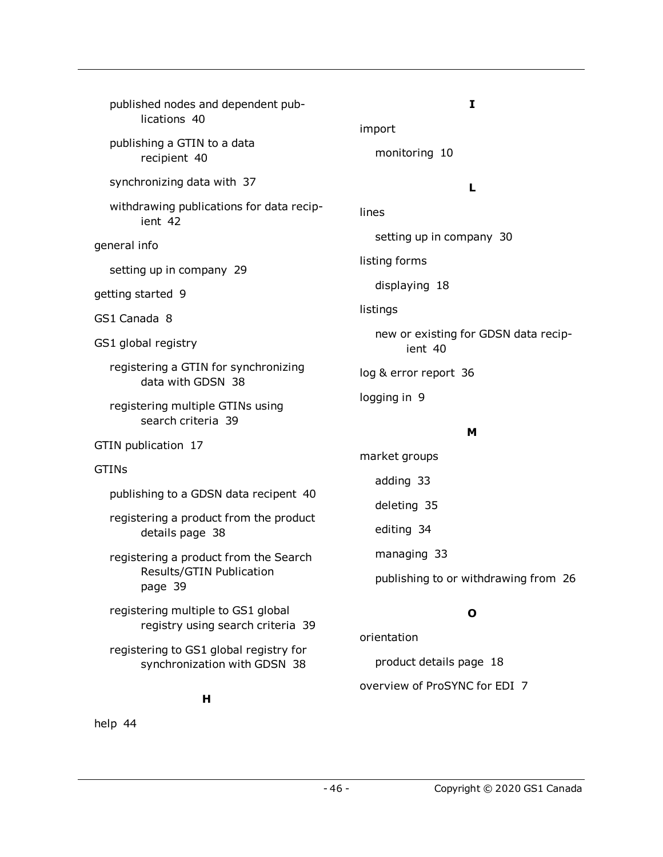| published nodes and dependent pub-<br>lications 40                      | I<br>import                                     |
|-------------------------------------------------------------------------|-------------------------------------------------|
| publishing a GTIN to a data<br>recipient 40                             | monitoring 10                                   |
| synchronizing data with 37                                              | L                                               |
| withdrawing publications for data recip-<br>ient 42                     | lines                                           |
| general info                                                            | setting up in company 30                        |
| setting up in company 29                                                | listing forms                                   |
| getting started 9                                                       | displaying 18                                   |
| GS1 Canada 8                                                            | listings                                        |
| GS1 global registry                                                     | new or existing for GDSN data recip-<br>ient 40 |
| registering a GTIN for synchronizing<br>data with GDSN 38               | log & error report 36                           |
| registering multiple GTINs using<br>search criteria 39                  | logging in 9                                    |
| GTIN publication 17                                                     | м                                               |
| <b>GTINS</b>                                                            | market groups                                   |
| publishing to a GDSN data recipent 40                                   | adding 33                                       |
|                                                                         | deleting 35                                     |
| registering a product from the product<br>details page 38               | editing 34                                      |
| registering a product from the Search                                   | managing 33                                     |
| Results/GTIN Publication<br>page 39                                     | publishing to or withdrawing from 26            |
| registering multiple to GS1 global<br>registry using search criteria 39 | O                                               |
| registering to GS1 global registry for                                  | orientation                                     |
| synchronization with GDSN 38                                            | product details page 18                         |
|                                                                         | overview of ProSYNC for EDI 7                   |

**H**

help [44](#page-43-0)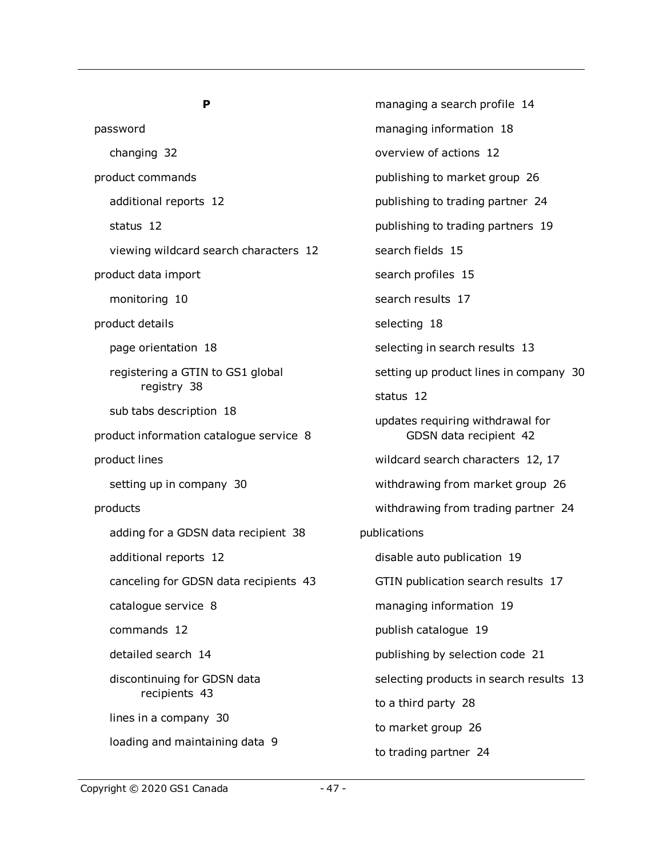#### **P**

password changing [32](#page-31-0) product commands additional reports [12](#page-11-4) status [12](#page-11-2) viewing wildcard search characters [12](#page-11-3) product data import monitoring [10](#page-9-0) product details page orientation [18](#page-17-3) registering a GTIN to GS1 global registry [38](#page-37-2) sub tabs description [18](#page-17-3) product information catalogue service [8](#page-7-1) product lines setting up in company [30](#page-29-1) products adding for a GDSN data recipient [38](#page-37-0) additional reports [12](#page-11-4) canceling for GDSN data recipients [43](#page-42-0) catalogue service [8](#page-7-1) commands [12](#page-11-1) detailed search [14](#page-13-0) discontinuing for GDSN data recipients [43](#page-42-0) lines in a company [30](#page-29-1) loading and maintaining data [9](#page-8-2)

managing a search profile [14](#page-13-1) managing information [18](#page-17-1) overview of actions [12](#page-11-0) publishing to market group [26](#page-25-0) publishing to trading partner [24](#page-23-0) publishing to trading partners [19](#page-18-1) search fields [15](#page-14-0) search profiles [15](#page-14-1) search results [17](#page-16-1) selecting [18](#page-17-0) selecting in search results [13](#page-12-1) setting up product lines in company [30](#page-29-1) status [12](#page-11-2) updates requiring withdrawal for GDSN data recipient [42](#page-41-1) wildcard search characters [12](#page-11-3), [17](#page-16-0) withdrawing from market group [26](#page-25-0) withdrawing from trading partner [24](#page-23-0) publications disable auto publication [19](#page-18-2) GTIN publication search results [17](#page-16-1) managing information [19](#page-18-1) publish catalogue [19](#page-18-2) publishing by selection code [21](#page-20-0) selecting products in search results [13](#page-12-1) to a third party [28](#page-27-0) to market group [26](#page-25-0) to trading partner [24](#page-23-0)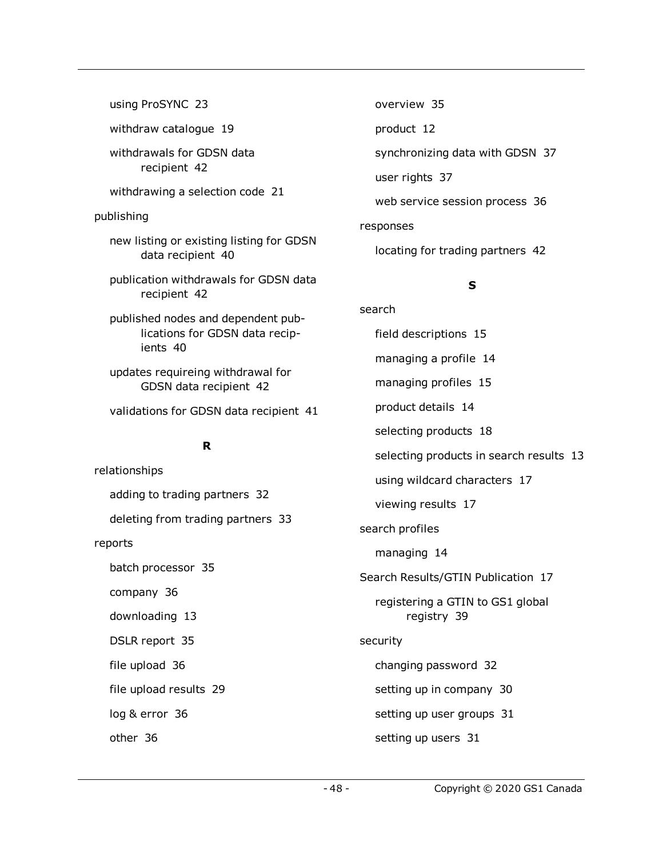using ProSYNC [23](#page-22-0) withdraw catalogue [19](#page-18-2) withdrawals for GDSN data recipient [42](#page-41-0) withdrawing a selection code [21](#page-20-0) publishing new listing or existing listing for GDSN data recipient [40](#page-39-3) publication withdrawals for GDSN data recipient [42](#page-41-0) published nodes and dependent publications for GDSN data recipients [40](#page-39-1) updates requireing withdrawal for GDSN data recipient [42](#page-41-1) validations for GDSN data recipient [41](#page-40-0) **R** relationships adding to trading partners [32](#page-31-2) deleting from trading partners [33](#page-32-0) reports

batch processor [35](#page-34-2)

company [36](#page-35-4)

downloading [13](#page-12-0)

DSLR report [35](#page-34-2)

file upload [36](#page-35-1)

file upload results [29](#page-28-0)

log & error [36](#page-35-3)

other [36](#page-35-2)

overview [35](#page-34-1) product [12](#page-11-4) synchronizing data with GDSN [37](#page-36-1) user rights [37](#page-36-0) web service session process [36](#page-35-0) responses

locating for trading partners [42](#page-41-3)

search

### **S**

field descriptions [15](#page-14-0) managing a profile [14](#page-13-1) managing profiles [15](#page-14-1) product details [14](#page-13-0) selecting products [18](#page-17-0) selecting products in search results [13](#page-12-1) using wildcard characters [17](#page-16-0) viewing results [17](#page-16-1) search profiles managing [14](#page-13-1) Search Results/GTIN Publication [17](#page-16-1) registering a GTIN to GS1 global registry [39](#page-38-0) security changing password [32](#page-31-0) setting up in company [30](#page-29-3) setting up user groups [31](#page-30-1) setting up users [31](#page-30-0)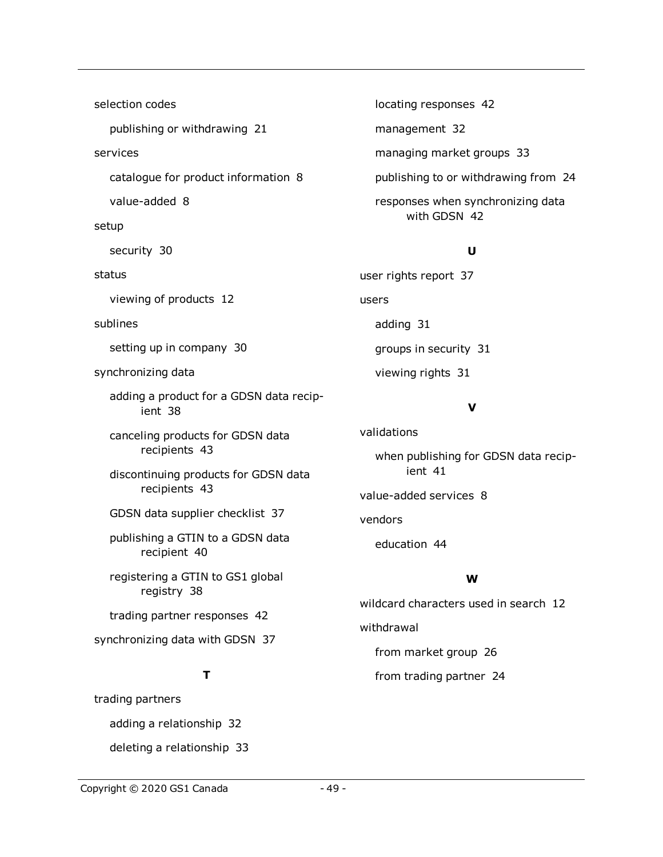selection codes publishing or withdrawing [21](#page-20-0) services catalogue for product information [8](#page-7-1) value-added [8](#page-7-2) setup security [30](#page-29-3) status viewing of products [12](#page-11-2) sublines setting up in company [30](#page-29-1) synchronizing data adding a product for a GDSN data recipient [38](#page-37-0) canceling products for GDSN data recipients [43](#page-42-0) discontinuing products for GDSN data recipients [43](#page-42-0) GDSN data supplier checklist [37](#page-36-2) publishing a GTIN to a GDSN data recipient [40](#page-39-0) registering a GTIN to GS1 global registry [38](#page-37-1) trading partner responses [42](#page-41-2) synchronizing data with GDSN [37](#page-36-1) **T**

## locating responses [42](#page-41-3) management [32](#page-31-1) managing market groups [33](#page-32-1) publishing to or withdrawing from [24](#page-23-0) responses when synchronizing data with GDSN [42](#page-41-2)

#### **U**

user rights report [37](#page-36-0) users adding [31](#page-30-0) groups in security [31](#page-30-1) viewing rights [31](#page-30-0)

#### **V**

validations when publishing for GDSN data recipient [41](#page-40-0) value-added services [8](#page-7-2) vendors

education [44](#page-43-0)

#### **W**

wildcard characters used in search [12](#page-11-3) withdrawal from market group [26](#page-25-0) from trading partner [24](#page-23-0)

#### Copyright © 2020 GS1 Canada - 49 -

adding a relationship [32](#page-31-2)

deleting a relationship [33](#page-32-0)

trading partners